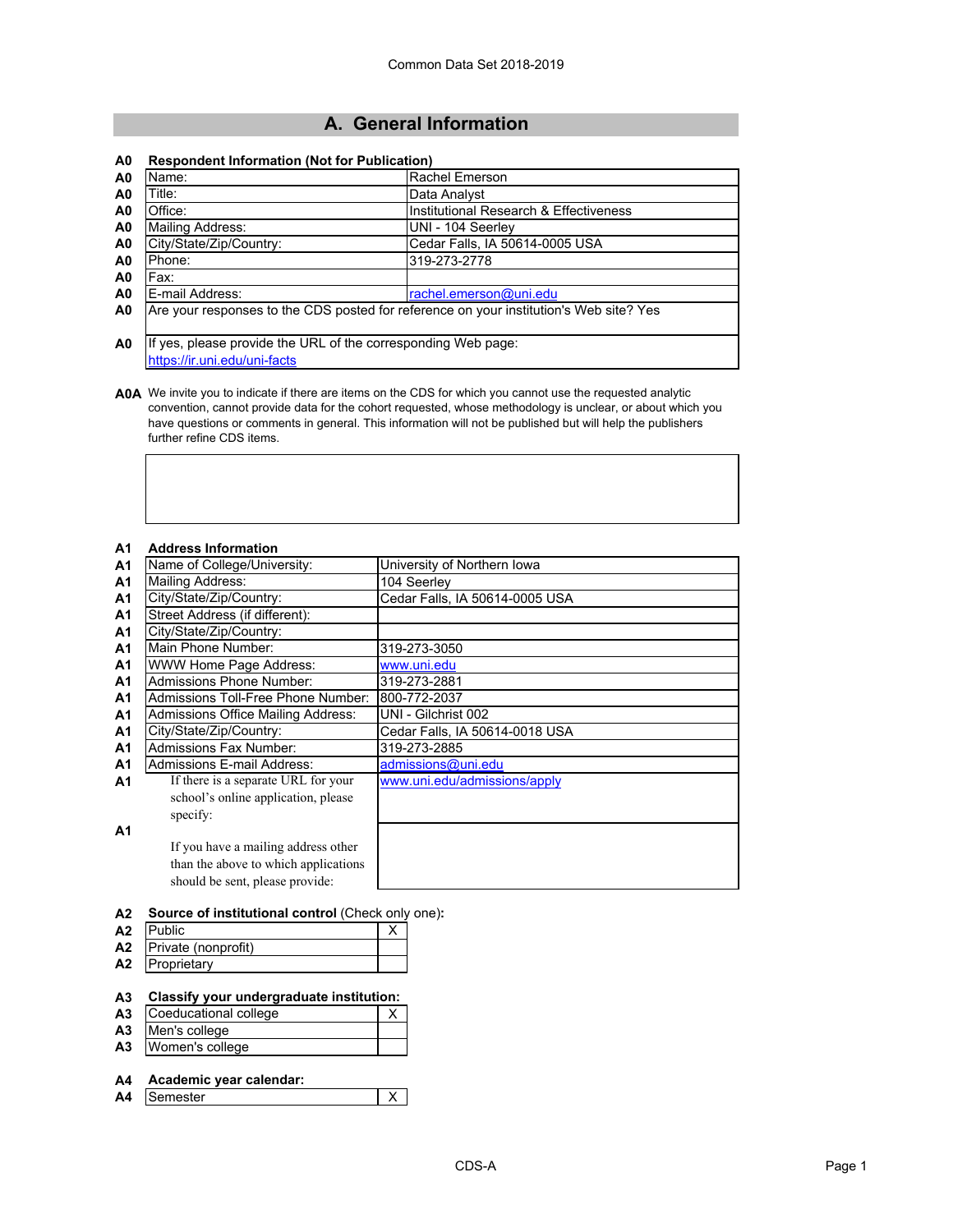# **A. General Information**

## **A0 Respondent Information (Not for Publication)**

| A <sub>0</sub> | Name:                                                                                  | <b>Rachel Emerson</b>                  |
|----------------|----------------------------------------------------------------------------------------|----------------------------------------|
| A <sub>0</sub> | Title:                                                                                 | Data Analyst                           |
| A <sub>0</sub> | Office:                                                                                | Institutional Research & Effectiveness |
| A <sub>0</sub> | Mailing Address:                                                                       | UNI - 104 Seerley                      |
| A <sub>0</sub> | City/State/Zip/Country:                                                                | Cedar Falls, IA 50614-0005 USA         |
| A <sub>0</sub> | Phone:                                                                                 | 319-273-2778                           |
| A <sub>0</sub> | Fax:                                                                                   |                                        |
| A <sub>0</sub> | E-mail Address:                                                                        | rachel.emerson@uni.edu                 |
| A <sub>0</sub> | Are your responses to the CDS posted for reference on your institution's Web site? Yes |                                        |
|                |                                                                                        |                                        |
| A <sub>0</sub> | If yes, please provide the URL of the corresponding Web page:                          |                                        |
|                | https://ir.uni.edu/uni-facts                                                           |                                        |

**A0A** We invite you to indicate if there are items on the CDS for which you cannot use the requested analytic convention, cannot provide data for the cohort requested, whose methodology is unclear, or about which you have questions or comments in general. This information will not be published but will help the publishers further refine CDS items.

## **A1 Address Information**

| A <sub>1</sub> | Name of College/University:               | University of Northern Iowa    |
|----------------|-------------------------------------------|--------------------------------|
| A <sub>1</sub> | Mailing Address:                          | 104 Seerley                    |
| A <sub>1</sub> | City/State/Zip/Country:                   | Cedar Falls, IA 50614-0005 USA |
| A <sub>1</sub> | Street Address (if different):            |                                |
| A <sub>1</sub> | City/State/Zip/Country:                   |                                |
| A <sub>1</sub> | Main Phone Number:                        | 319-273-3050                   |
| A <sub>1</sub> | WWW Home Page Address:                    | www.uni.edu                    |
| A <sub>1</sub> | <b>Admissions Phone Number:</b>           | 319-273-2881                   |
| A <sub>1</sub> | <b>Admissions Toll-Free Phone Number:</b> | 800-772-2037                   |
| A <sub>1</sub> | Admissions Office Mailing Address:        | UNI - Gilchrist 002            |
| A <sub>1</sub> | City/State/Zip/Country:                   | Cedar Falls, IA 50614-0018 USA |
| A <sub>1</sub> | Admissions Fax Number:                    | 319-273-2885                   |
| A1             | Admissions E-mail Address:                | admissions@uni.edu             |
| A <sub>1</sub> | If there is a separate URL for your       | www.uni.edu/admissions/apply   |
|                | school's online application, please       |                                |
|                | specify:                                  |                                |
| A1             |                                           |                                |
|                | If you have a mailing address other       |                                |
|                | than the above to which applications      |                                |
|                | should be sent, please provide:           |                                |
|                |                                           |                                |

- **A2 Source of institutional control** (Check only one)**:**
- **A2** Public X **A2** Private (nonprofit)
- **A2** Proprietary

## **A3 Classify your undergraduate institution:**

- **A3** Coeducational college X
- **A3** Men's college **A3** Women's college
- **A4 Academic year calendar:**
- **A4** Semester X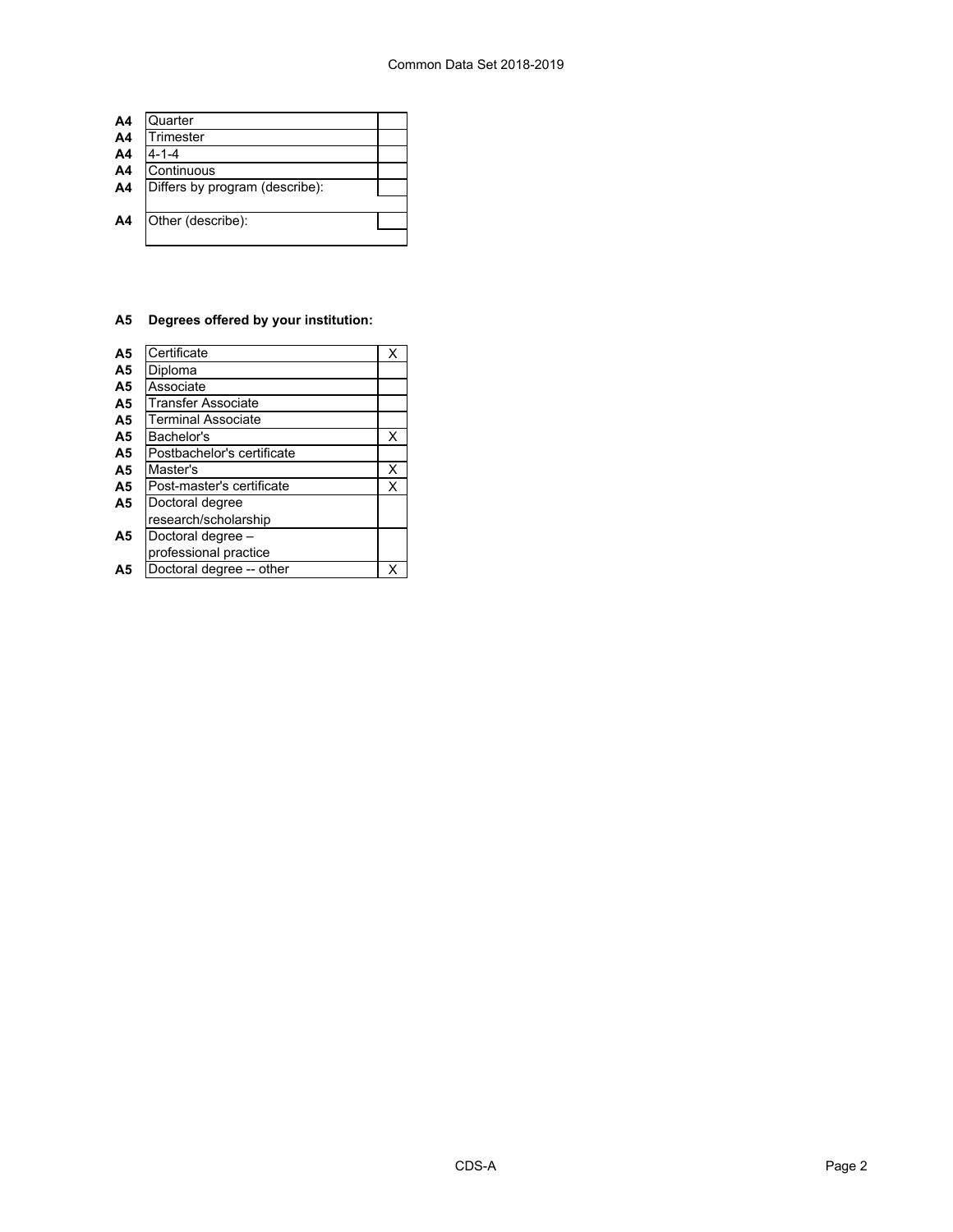| A <sub>4</sub> | Quarter                        |  |
|----------------|--------------------------------|--|
| A <sub>4</sub> | Trimester                      |  |
| A <sub>4</sub> | $4 - 1 - 4$                    |  |
| A <sub>4</sub> | Continuous                     |  |
| A4             | Differs by program (describe): |  |
|                |                                |  |
| A <sub>4</sub> | Other (describe):              |  |
|                |                                |  |

## **A5 Degrees offered by your institution:**

| A <sub>5</sub> | Certificate                | Χ |
|----------------|----------------------------|---|
| A <sub>5</sub> | Diploma                    |   |
| A <sub>5</sub> | Associate                  |   |
| A <sub>5</sub> | <b>Transfer Associate</b>  |   |
| A <sub>5</sub> | <b>Terminal Associate</b>  |   |
| A <sub>5</sub> | Bachelor's                 | X |
| A <sub>5</sub> | Postbachelor's certificate |   |
| A <sub>5</sub> | Master's                   | Χ |
| A <sub>5</sub> | Post-master's certificate  | X |
| A <sub>5</sub> | Doctoral degree            |   |
|                | research/scholarship       |   |
| A <sub>5</sub> | Doctoral degree -          |   |
|                | professional practice      |   |
| Α5             | Doctoral degree -- other   |   |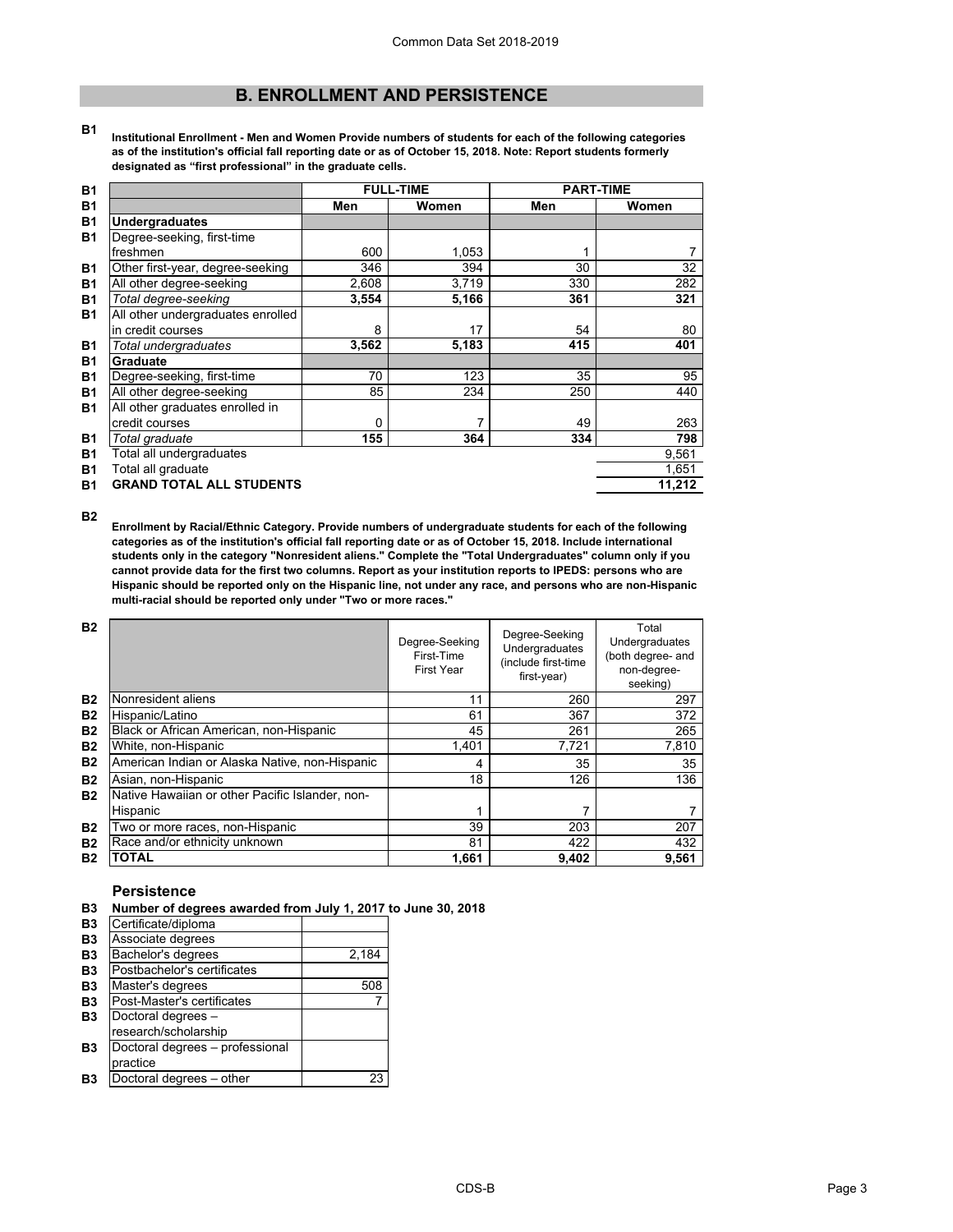## **B. ENROLLMENT AND PERSISTENCE**

**B1 Institutional Enrollment - Men and Women Provide numbers of students for each of the following categories as of the institution's official fall reporting date or as of October 15, 2018. Note: Report students formerly designated as "first professional" in the graduate cells.**

| <b>B1</b> |                                   |       | <b>FULL-TIME</b> | <b>PART-TIME</b> |        |
|-----------|-----------------------------------|-------|------------------|------------------|--------|
| <b>B1</b> |                                   | Men   | Women            | Men              | Women  |
| <b>B1</b> | <b>Undergraduates</b>             |       |                  |                  |        |
| <b>B1</b> | Degree-seeking, first-time        |       |                  |                  |        |
|           | freshmen                          | 600   | 1,053            |                  |        |
| <b>B1</b> | Other first-year, degree-seeking  | 346   | 394              | 30               | 32     |
| <b>B1</b> | All other degree-seeking          | 2,608 | 3,719            | 330              | 282    |
| <b>B1</b> | Total degree-seeking              | 3,554 | 5,166            | 361              | 321    |
| <b>B1</b> | All other undergraduates enrolled |       |                  |                  |        |
|           | in credit courses                 | 8     | 17               | 54               | 80     |
| <b>B1</b> | Total undergraduates              | 3,562 | 5,183            | 415              | 401    |
| <b>B1</b> | Graduate                          |       |                  |                  |        |
| <b>B1</b> | Degree-seeking, first-time        | 70    | 123              | 35               | 95     |
| <b>B1</b> | All other degree-seeking          | 85    | 234              | 250              | 440    |
| <b>B1</b> | All other graduates enrolled in   |       |                  |                  |        |
|           | credit courses                    | 0     | 7                | 49               | 263    |
| <b>B1</b> | Total graduate                    | 155   | 364              | 334              | 798    |
| <b>B1</b> | Total all undergraduates          |       |                  |                  | 9,561  |
| <b>B1</b> | Total all graduate                |       |                  |                  | 1,651  |
| <b>B1</b> | <b>GRAND TOTAL ALL STUDENTS</b>   |       |                  |                  | 11,212 |

**B2**

**Enrollment by Racial/Ethnic Category. Provide numbers of undergraduate students for each of the following categories as of the institution's official fall reporting date or as of October 15, 2018. Include international students only in the category "Nonresident aliens." Complete the "Total Undergraduates" column only if you cannot provide data for the first two columns. Report as your institution reports to IPEDS: persons who are Hispanic should be reported only on the Hispanic line, not under any race, and persons who are non-Hispanic multi-racial should be reported only under "Two or more races."** 

| <b>B2</b> |                                                 | Degree-Seeking<br>First-Time<br><b>First Year</b> | Degree-Seeking<br>Undergraduates<br>(include first-time<br>first-year) | Total<br>Undergraduates<br>(both degree- and<br>non-degree-<br>seeking) |
|-----------|-------------------------------------------------|---------------------------------------------------|------------------------------------------------------------------------|-------------------------------------------------------------------------|
| <b>B2</b> | Nonresident aliens                              | 11                                                | 260                                                                    | 297                                                                     |
| <b>B2</b> | Hispanic/Latino                                 | 61                                                | 367                                                                    | 372                                                                     |
| <b>B2</b> | Black or African American, non-Hispanic         | 45                                                | 261                                                                    | 265                                                                     |
| <b>B2</b> | White, non-Hispanic                             | 1.401                                             | 7.721                                                                  | 7,810                                                                   |
| <b>B2</b> | American Indian or Alaska Native, non-Hispanic  | 4                                                 | 35                                                                     | 35                                                                      |
| <b>B2</b> | Asian, non-Hispanic                             | 18                                                | 126                                                                    | 136                                                                     |
| <b>B2</b> | Native Hawaiian or other Pacific Islander, non- |                                                   |                                                                        |                                                                         |
|           | Hispanic                                        | 1                                                 |                                                                        |                                                                         |
| <b>B2</b> | Two or more races, non-Hispanic                 | 39                                                | 203                                                                    | 207                                                                     |
| <b>B2</b> | Race and/or ethnicity unknown                   | 81                                                | 422                                                                    | 432                                                                     |
| <b>B2</b> | <b>TOTAL</b>                                    | 1,661                                             | 9,402                                                                  | 9,561                                                                   |

### **Persistence**

**B3 Number of degrees awarded from July 1, 2017 to June 30, 2018**

| B <sub>3</sub> | Certificate/diploma             |       |
|----------------|---------------------------------|-------|
| <b>B3</b>      | Associate degrees               |       |
| B <sub>3</sub> | Bachelor's degrees              | 2,184 |
| B <sub>3</sub> | Postbachelor's certificates     |       |
| B <sub>3</sub> | Master's degrees                | 508   |
| <b>B3</b>      | Post-Master's certificates      |       |
| B <sub>3</sub> | Doctoral degrees -              |       |
|                | research/scholarship            |       |
| B <sub>3</sub> | Doctoral degrees - professional |       |
|                | practice                        |       |
| Β3             | Doctoral degrees - other        | 23    |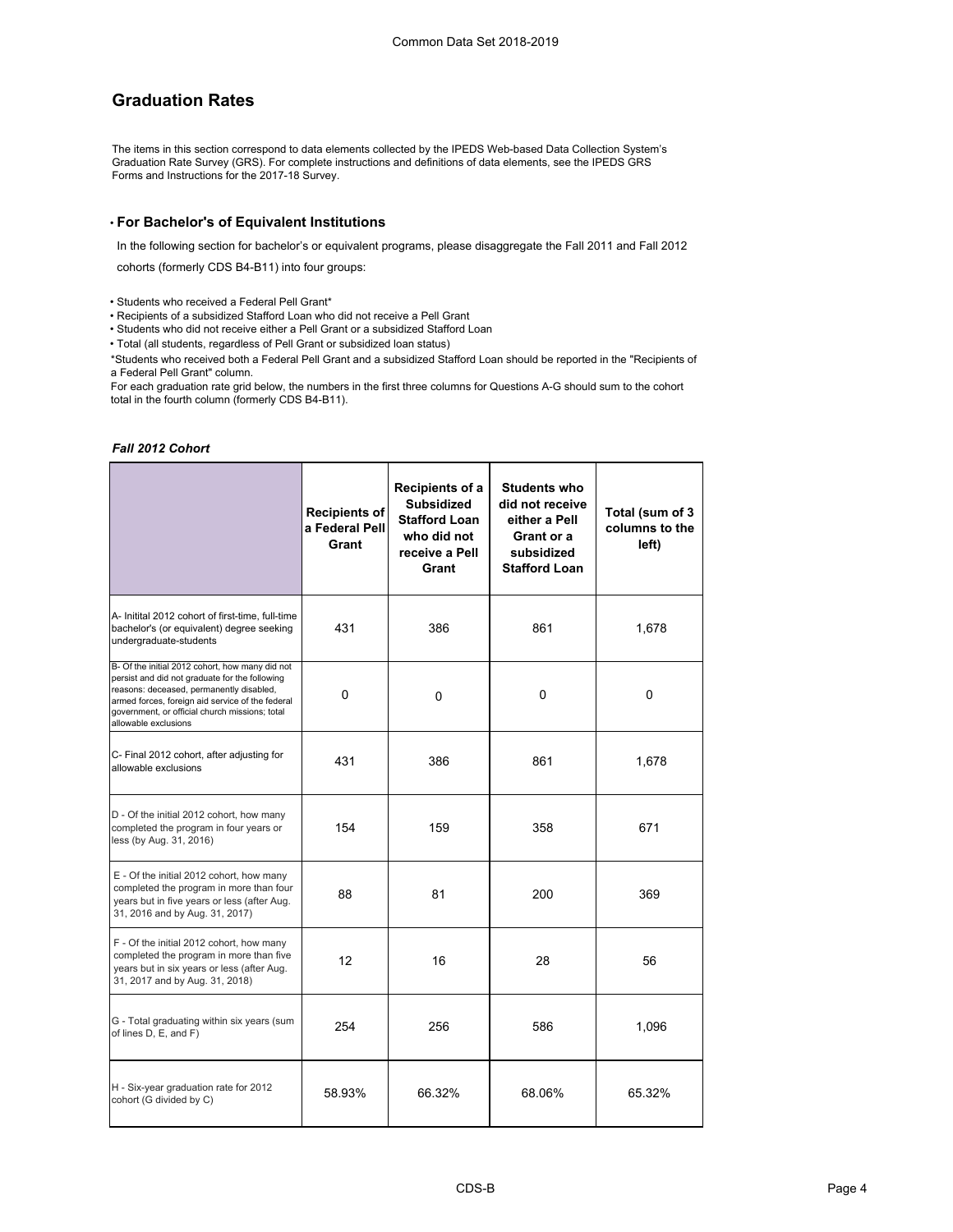## **Graduation Rates**

The items in this section correspond to data elements collected by the IPEDS Web-based Data Collection System's Graduation Rate Survey (GRS). For complete instructions and definitions of data elements, see the IPEDS GRS Forms and Instructions for the 2017-18 Survey.

### • **For Bachelor's of Equivalent Institutions**

In the following section for bachelor's or equivalent programs, please disaggregate the Fall 2011 and Fall 2012

cohorts (formerly CDS B4-B11) into four groups:

• Students who received a Federal Pell Grant\*

• Recipients of a subsidized Stafford Loan who did not receive a Pell Grant

• Students who did not receive either a Pell Grant or a subsidized Stafford Loan

• Total (all students, regardless of Pell Grant or subsidized loan status)

\*Students who received both a Federal Pell Grant and a subsidized Stafford Loan should be reported in the "Recipients of a Federal Pell Grant" column.

For each graduation rate grid below, the numbers in the first three columns for Questions A-G should sum to the cohort total in the fourth column (formerly CDS B4-B11).

#### *Fall 2012 Cohort*

|                                                                                                                                                                                                                                                                             | <b>Recipients of</b><br>a Federal Pell<br>Grant | Recipients of a<br><b>Subsidized</b><br><b>Stafford Loan</b><br>who did not<br>receive a Pell<br>Grant | <b>Students who</b><br>did not receive<br>either a Pell<br>Grant or a<br>subsidized<br><b>Stafford Loan</b> | Total (sum of 3<br>columns to the<br>left) |
|-----------------------------------------------------------------------------------------------------------------------------------------------------------------------------------------------------------------------------------------------------------------------------|-------------------------------------------------|--------------------------------------------------------------------------------------------------------|-------------------------------------------------------------------------------------------------------------|--------------------------------------------|
| A- Initital 2012 cohort of first-time, full-time<br>bachelor's (or equivalent) degree seeking<br>undergraduate-students                                                                                                                                                     | 431                                             | 386                                                                                                    | 861                                                                                                         | 1,678                                      |
| B- Of the initial 2012 cohort, how many did not<br>persist and did not graduate for the following<br>reasons: deceased, permanently disabled,<br>armed forces, foreign aid service of the federal<br>government, or official church missions; total<br>allowable exclusions | 0                                               | 0                                                                                                      | 0                                                                                                           | 0                                          |
| C- Final 2012 cohort, after adjusting for<br>allowable exclusions                                                                                                                                                                                                           | 431                                             | 386                                                                                                    | 861                                                                                                         | 1,678                                      |
| D - Of the initial 2012 cohort, how many<br>completed the program in four years or<br>less (by Aug. 31, 2016)                                                                                                                                                               | 154                                             | 159                                                                                                    | 358                                                                                                         | 671                                        |
| E - Of the initial 2012 cohort, how many<br>completed the program in more than four<br>years but in five years or less (after Aug.<br>31, 2016 and by Aug. 31, 2017)                                                                                                        | 88                                              | 81                                                                                                     | 200                                                                                                         | 369                                        |
| F - Of the initial 2012 cohort, how many<br>completed the program in more than five<br>years but in six years or less (after Aug.<br>31, 2017 and by Aug. 31, 2018)                                                                                                         | 12                                              | 16                                                                                                     | 28                                                                                                          | 56                                         |
| G - Total graduating within six years (sum<br>of lines D, E, and F)                                                                                                                                                                                                         | 254                                             | 256                                                                                                    | 586                                                                                                         | 1,096                                      |
| H - Six-year graduation rate for 2012<br>cohort (G divided by C)                                                                                                                                                                                                            | 58.93%                                          | 66.32%                                                                                                 | 68.06%                                                                                                      | 65.32%                                     |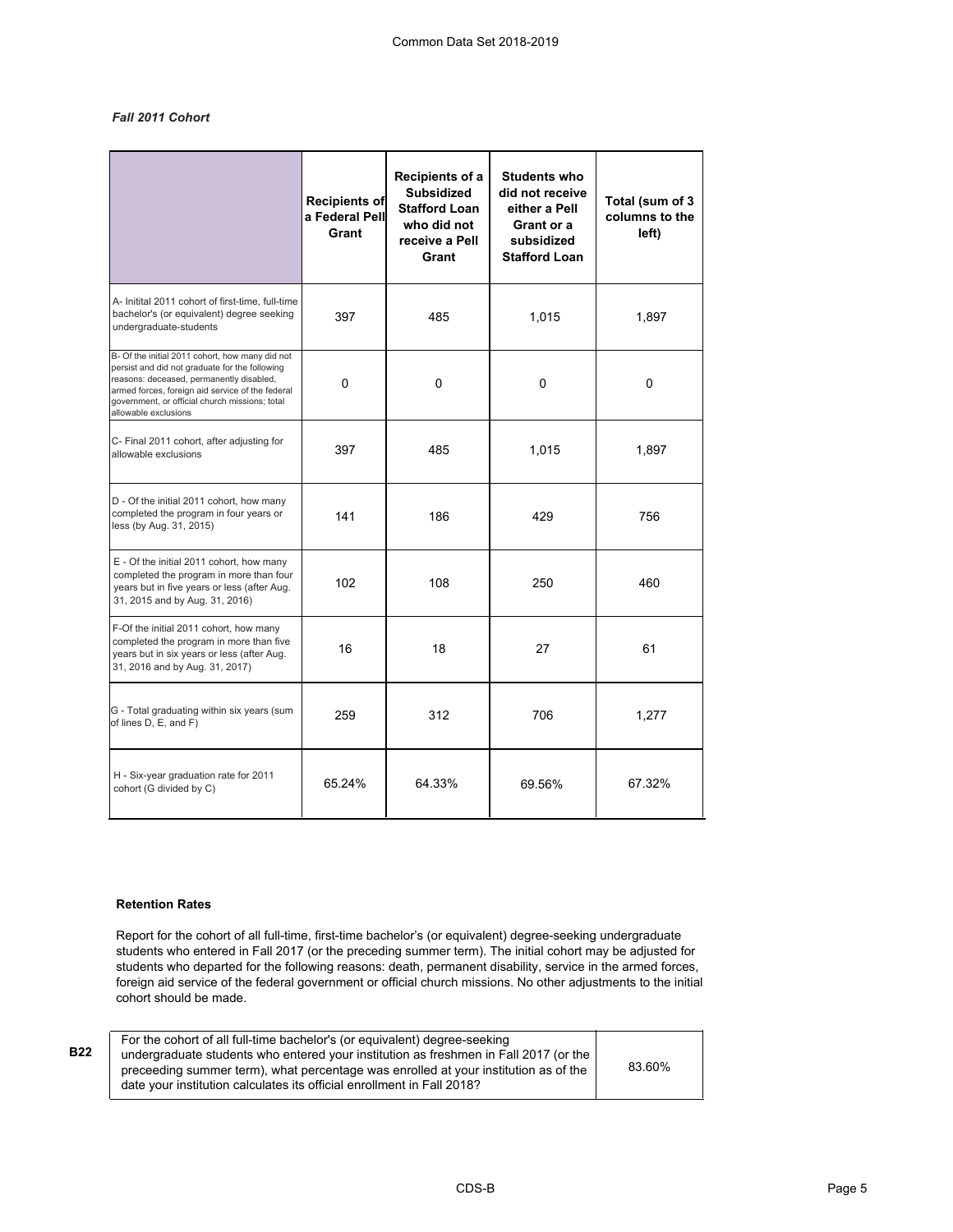## *Fall 2011 Cohort*

|                                                                                                                                                                                                                                                                             | <b>Recipients of</b><br>a Federal Pell<br>Grant | Recipients of a<br><b>Subsidized</b><br><b>Stafford Loan</b><br>who did not<br>receive a Pell<br>Grant | <b>Students who</b><br>did not receive<br>either a Pell<br>Grant or a<br>subsidized<br><b>Stafford Loan</b> | Total (sum of 3<br>columns to the<br>left) |
|-----------------------------------------------------------------------------------------------------------------------------------------------------------------------------------------------------------------------------------------------------------------------------|-------------------------------------------------|--------------------------------------------------------------------------------------------------------|-------------------------------------------------------------------------------------------------------------|--------------------------------------------|
| A- Initital 2011 cohort of first-time, full-time<br>bachelor's (or equivalent) degree seeking<br>undergraduate-students                                                                                                                                                     | 397                                             | 485                                                                                                    | 1,015                                                                                                       | 1,897                                      |
| B- Of the initial 2011 cohort, how many did not<br>persist and did not graduate for the following<br>reasons: deceased, permanently disabled,<br>armed forces, foreign aid service of the federal<br>government, or official church missions; total<br>allowable exclusions | 0                                               | 0                                                                                                      | 0                                                                                                           | $\Omega$                                   |
| C- Final 2011 cohort, after adjusting for<br>allowable exclusions                                                                                                                                                                                                           | 397                                             | 485                                                                                                    | 1,015                                                                                                       | 1,897                                      |
| D - Of the initial 2011 cohort, how many<br>completed the program in four years or<br>less (by Aug. 31, 2015)                                                                                                                                                               | 141                                             | 186                                                                                                    | 429                                                                                                         | 756                                        |
| E - Of the initial 2011 cohort, how many<br>completed the program in more than four<br>years but in five years or less (after Aug.<br>31, 2015 and by Aug. 31, 2016)                                                                                                        | 102                                             | 108                                                                                                    | 250                                                                                                         | 460                                        |
| F-Of the initial 2011 cohort, how many<br>completed the program in more than five<br>years but in six years or less (after Aug.<br>31, 2016 and by Aug. 31, 2017)                                                                                                           | 16                                              | 18                                                                                                     | 27                                                                                                          | 61                                         |
| G - Total graduating within six years (sum<br>of lines D, E, and F)                                                                                                                                                                                                         | 259                                             | 312                                                                                                    | 706                                                                                                         | 1,277                                      |
| H - Six-year graduation rate for 2011<br>cohort (G divided by C)                                                                                                                                                                                                            | 65.24%                                          | 64.33%                                                                                                 | 69.56%                                                                                                      | 67.32%                                     |

## **Retention Rates**

**B22**

Report for the cohort of all full-time, first-time bachelor's (or equivalent) degree-seeking undergraduate students who entered in Fall 2017 (or the preceding summer term). The initial cohort may be adjusted for students who departed for the following reasons: death, permanent disability, service in the armed forces, foreign aid service of the federal government or official church missions. No other adjustments to the initial cohort should be made.

For the cohort of all full-time bachelor's (or equivalent) degree-seeking undergraduate students who entered your institution as freshmen in Fall 2017 (or the preceeding summer term), what percentage was enrolled at your institution as of the date your institution calculates its official enrollment in Fall 2018? 83.60%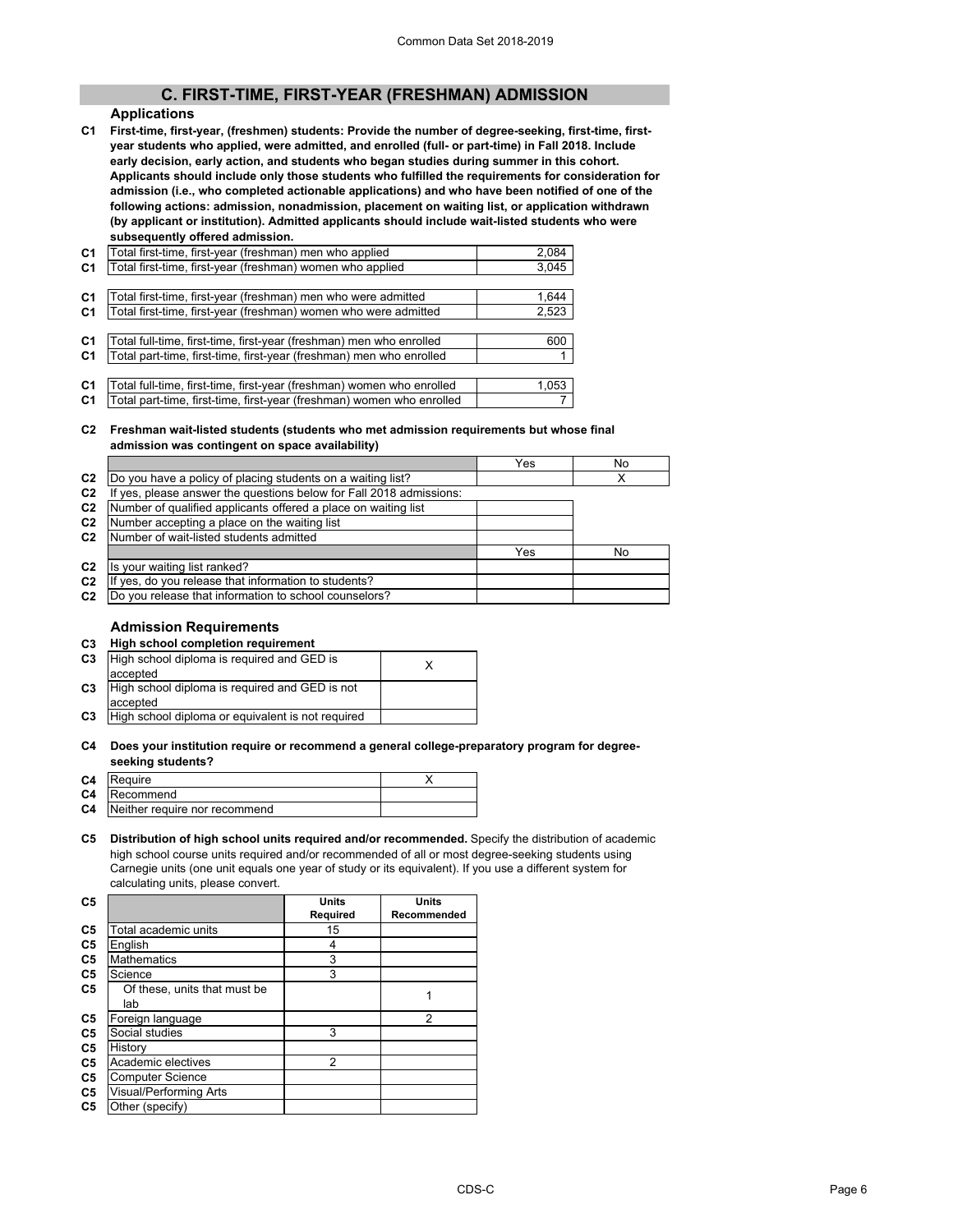## **C. FIRST-TIME, FIRST-YEAR (FRESHMAN) ADMISSION**

### **Applications**

**C1 First-time, first-year, (freshmen) students: Provide the number of degree-seeking, first-time, firstyear students who applied, were admitted, and enrolled (full- or part-time) in Fall 2018. Include early decision, early action, and students who began studies during summer in this cohort. Applicants should include only those students who fulfilled the requirements for consideration for admission (i.e., who completed actionable applications) and who have been notified of one of the following actions: admission, nonadmission, placement on waiting list, or application withdrawn (by applicant or institution). Admitted applicants should include wait-listed students who were subsequently offered admission.**

| C <sub>1</sub> | Total first-time, first-year (freshman) men who applied               | 2,084 |
|----------------|-----------------------------------------------------------------------|-------|
| C <sub>1</sub> | Total first-time, first-year (freshman) women who applied             | 3,045 |
|                |                                                                       |       |
| C <sub>1</sub> | Total first-time, first-year (freshman) men who were admitted         | 1,644 |
| C <sub>1</sub> | Total first-time, first-year (freshman) women who were admitted       | 2,523 |
|                |                                                                       |       |
| C <sub>1</sub> | Total full-time, first-time, first-year (freshman) men who enrolled   | 600   |
| C <sub>1</sub> | Total part-time, first-time, first-year (freshman) men who enrolled   |       |
|                |                                                                       |       |
| C <sub>1</sub> | Total full-time, first-time, first-year (freshman) women who enrolled | 1,053 |
| C <sub>1</sub> | Total part-time, first-time, first-year (freshman) women who enrolled |       |
|                |                                                                       |       |

#### **C2 Freshman wait-listed students (students who met admission requirements but whose final admission was contingent on space availability)**

|                |                                                                     | Yes | No |
|----------------|---------------------------------------------------------------------|-----|----|
| C <sub>2</sub> | Do you have a policy of placing students on a waiting list?         |     |    |
| C <sub>2</sub> | If yes, please answer the questions below for Fall 2018 admissions: |     |    |
| C <sub>2</sub> | Number of qualified applicants offered a place on waiting list      |     |    |
| C <sub>2</sub> | Number accepting a place on the waiting list                        |     |    |
| C <sub>2</sub> | Number of wait-listed students admitted                             |     |    |
|                |                                                                     | Yes | No |
| C <sub>2</sub> | Is your waiting list ranked?                                        |     |    |
| C <sub>2</sub> | If yes, do you release that information to students?                |     |    |
| C <sub>2</sub> | Do you release that information to school counselors?               |     |    |
|                |                                                                     |     |    |

## **Admission Requirements**

## **C3 High school completion requirement**

| C <sub>3</sub> | High school diploma is required and GED is        |  |
|----------------|---------------------------------------------------|--|
|                | accepted                                          |  |
| C <sub>3</sub> | High school diploma is required and GED is not    |  |
|                | accepted                                          |  |
| C <sub>3</sub> | High school diploma or equivalent is not required |  |

#### **C4 Does your institution require or recommend a general college-preparatory program for degreeseeking students?**

| C4 Require                              |  |
|-----------------------------------------|--|
| C4 Recommend                            |  |
| <b>C4</b> Neither require nor recommend |  |
|                                         |  |

#### **C5 Distribution of high school units required and/or recommended.** Specify the distribution of academic high school course units required and/or recommended of all or most degree-seeking students using Carnegie units (one unit equals one year of study or its equivalent). If you use a different system for calculating units, please convert.

| C <sub>5</sub> |                              | <b>Units</b> | <b>Units</b> |
|----------------|------------------------------|--------------|--------------|
|                |                              | Required     | Recommended  |
| C <sub>5</sub> | Total academic units         | 15           |              |
| C <sub>5</sub> | English                      | 4            |              |
| C <sub>5</sub> | <b>Mathematics</b>           | 3            |              |
| C5             | Science                      | 3            |              |
| C5             | Of these, units that must be |              |              |
|                | lab                          |              |              |
| C <sub>5</sub> | Foreign language             |              | 2            |
| C <sub>5</sub> | Social studies               | 3            |              |
| C5             | History                      |              |              |
| C5             | Academic electives           | 2            |              |
| C5             | <b>Computer Science</b>      |              |              |
| C <sub>5</sub> | Visual/Performing Arts       |              |              |
| C5             | Other (specify)              |              |              |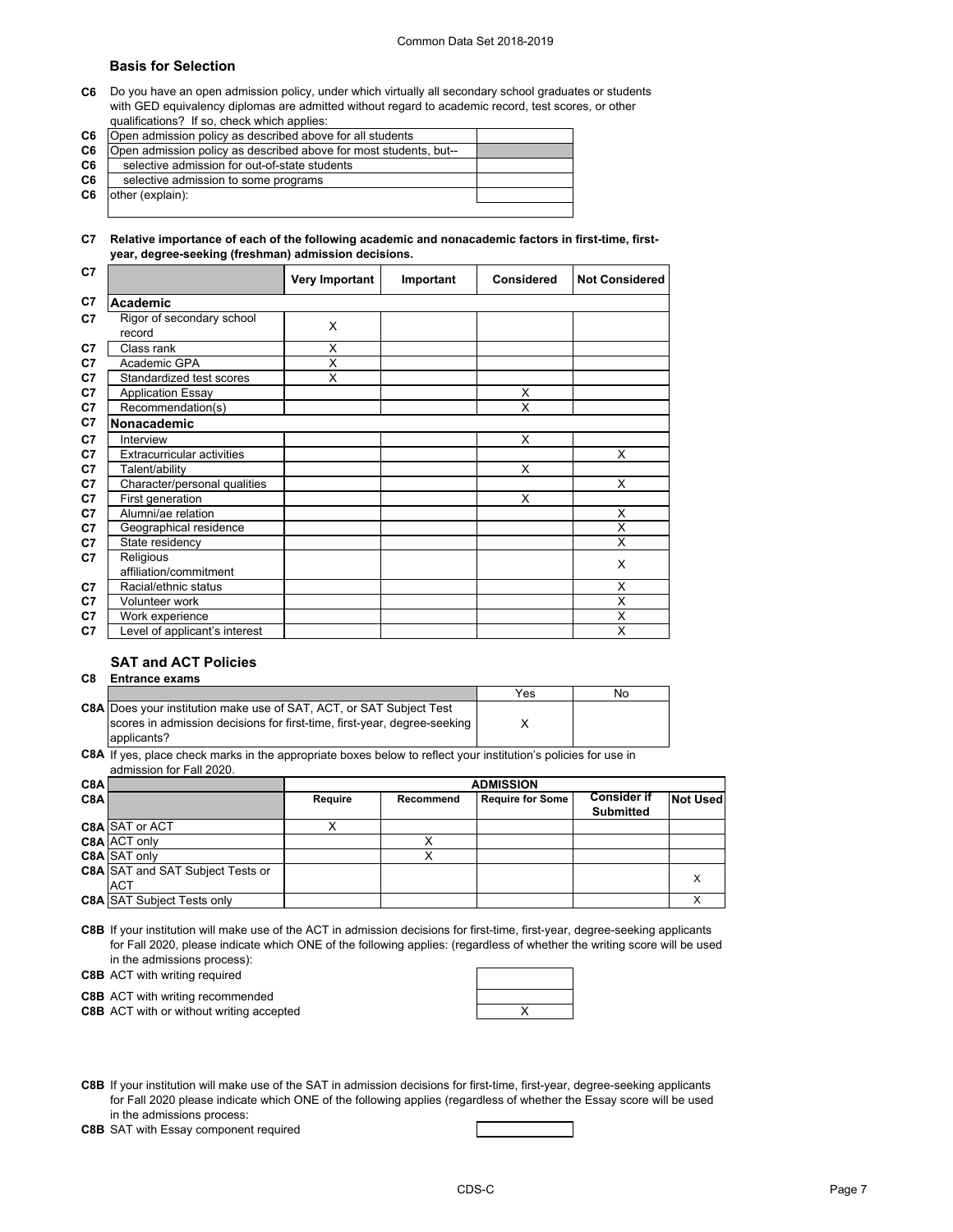#### Common Data Set 2018-2019

Т

### **Basis for Selection**

**C6** Do you have an open admission policy, under which virtually all secondary school graduates or students with GED equivalency diplomas are admitted without regard to academic record, test scores, or other qualifications? If so, check which applies:

**C6** Open admission policy as described above for all students

| <u>uu</u>      | Open durinosion policy do described doove for all students        |  |
|----------------|-------------------------------------------------------------------|--|
| C6             | Open admission policy as described above for most students, but-- |  |
| C <sub>6</sub> | selective admission for out-of-state students                     |  |
| C6             | selective admission to some programs                              |  |
| C6             | other (explain):                                                  |  |
|                |                                                                   |  |

#### **C7 Relative importance of each of the following academic and nonacademic factors in first-time, firstyear, degree-seeking (freshman) admission decisions.**

| C7             |                                     | <b>Very Important</b> | Important | <b>Considered</b> | <b>Not Considered</b> |
|----------------|-------------------------------------|-----------------------|-----------|-------------------|-----------------------|
| C7             | Academic                            |                       |           |                   |                       |
| C7             | Rigor of secondary school<br>record | X                     |           |                   |                       |
| C7             | Class rank                          | X                     |           |                   |                       |
| C7             | Academic GPA                        | X                     |           |                   |                       |
| C7             | Standardized test scores            | X                     |           |                   |                       |
| C7             | <b>Application Essay</b>            |                       |           | X                 |                       |
| C7             | Recommendation(s)                   |                       |           | X                 |                       |
| C7             | Nonacademic                         |                       |           |                   |                       |
| C7             | Interview                           |                       |           | X                 |                       |
| C7             | <b>Extracurricular activities</b>   |                       |           |                   | X                     |
| C7             | Talent/ability                      |                       |           | X                 |                       |
| C7             | Character/personal qualities        |                       |           |                   | X                     |
| C7             | First generation                    |                       |           | X                 |                       |
| C7             | Alumni/ae relation                  |                       |           |                   | X                     |
| C7             | Geographical residence              |                       |           |                   | X                     |
| C7             | State residency                     |                       |           |                   | X                     |
| C7             | Religious                           |                       |           |                   | X                     |
|                | affiliation/commitment              |                       |           |                   |                       |
| C7             | Racial/ethnic status                |                       |           |                   | X                     |
| C <sub>7</sub> | Volunteer work                      |                       |           |                   | X                     |
| C7             | Work experience                     |                       |           |                   | X                     |
| C7             | Level of applicant's interest       |                       |           |                   | X                     |

## **SAT and ACT Policies**

**C8 Entrance exams** 

|                                                                            | Yes | No |
|----------------------------------------------------------------------------|-----|----|
| <b>C8A Does your institution make use of SAT, ACT, or SAT Subject Test</b> |     |    |
| scores in admission decisions for first-time, first-year, degree-seeking   |     |    |
| applicants?                                                                |     |    |

**C8A** If yes, place check marks in the appropriate boxes below to reflect your institution's policies for use in admission for Fall 2020.

| C <sub>8</sub> A |                                         | <b>ADMISSION</b> |           |                         |                    |                 |
|------------------|-----------------------------------------|------------------|-----------|-------------------------|--------------------|-----------------|
| C <sub>8</sub> A |                                         | Require          | Recommend | <b>Require for Some</b> | <b>Consider if</b> | <b>Not Used</b> |
|                  |                                         |                  |           |                         | <b>Submitted</b>   |                 |
|                  | <b>C8A SAT or ACT</b>                   |                  |           |                         |                    |                 |
|                  | <b>C8A ACT only</b>                     |                  |           |                         |                    |                 |
|                  | <b>C8A SAT only</b>                     |                  |           |                         |                    |                 |
|                  | <b>C8A</b> SAT and SAT Subject Tests or |                  |           |                         |                    |                 |
|                  | <b>ACT</b>                              |                  |           |                         |                    |                 |
|                  | <b>C8A SAT Subject Tests only</b>       |                  |           |                         |                    |                 |

**C8B** If your institution will make use of the ACT in admission decisions for first-time, first-year, degree-seeking applicants for Fall 2020, please indicate which ONE of the following applies: (regardless of whether the writing score will be used in the admissions process):

**C8B** ACT with writing required

**C8B** ACT with writing recommended

**C8B** ACT with or without writing accepted **ACT ACT With**  $\mathsf{X}$ 

**C8B** If your institution will make use of the SAT in admission decisions for first-time, first-year, degree-seeking applicants for Fall 2020 please indicate which ONE of the following applies (regardless of whether the Essay score will be used in the admissions process:

**C8B** SAT with Essay component required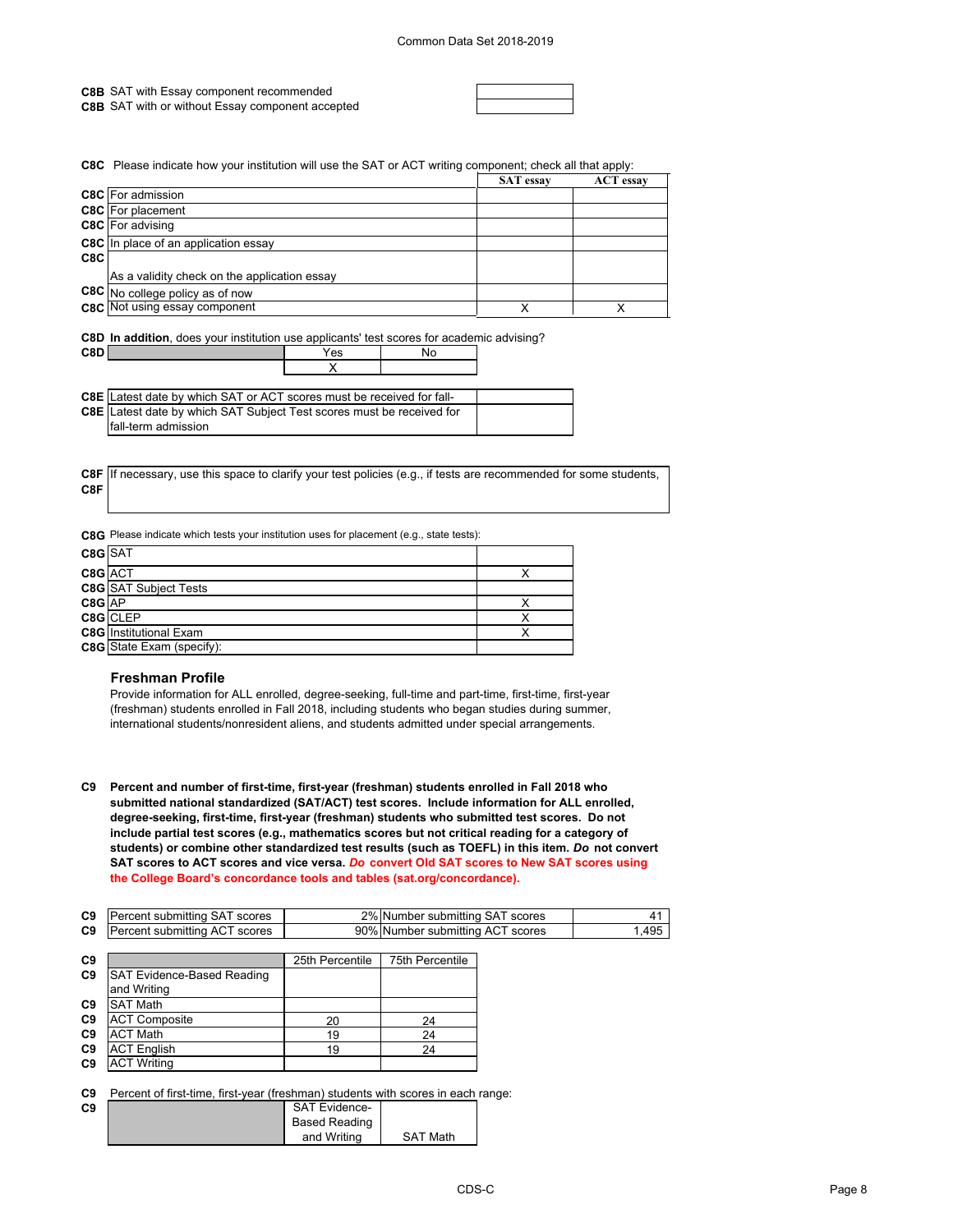**C8B** SAT with Essay component recommended

**C8B** SAT with or without Essay component accepted

**C8C** Please indicate how your institution will use the SAT or ACT writing component; check all that apply:

|     |                                              | <b>SAT</b> essay | <b>ACT</b> essay |
|-----|----------------------------------------------|------------------|------------------|
|     | <b>C8C</b> For admission                     |                  |                  |
|     | <b>C8C</b> For placement                     |                  |                  |
|     | <b>C8C</b> For advising                      |                  |                  |
|     | <b>C8C</b> In place of an application essay  |                  |                  |
| C8C |                                              |                  |                  |
|     | As a validity check on the application essay |                  |                  |
|     | C8C No college policy as of now              |                  |                  |
|     | <b>C8C</b> Not using essay component         | Y                |                  |

**C8D In addition**, does your institution use applicants' test scores for academic advising?

X

| C8D | ဗၖ | ັ |
|-----|----|---|
|     |    |   |

| <b>C8E</b> Latest date by which SAT or ACT scores must be received for fall- |  |
|------------------------------------------------------------------------------|--|
| C8E Latest date by which SAT Subject Test scores must be received for        |  |
| fall-term admission                                                          |  |

**C8F C8F** If necessary, use this space to clarify your test policies (e.g., if tests are recommended for some students,

**C8G** Please indicate which tests your institution uses for placement (e.g., state tests):

| C8G SAT |                               |  |
|---------|-------------------------------|--|
| C8G ACT |                               |  |
|         | <b>C8G</b> SAT Subject Tests  |  |
| C8G AP  |                               |  |
|         | C8G CLEP                      |  |
|         | <b>C8G</b> Institutional Exam |  |
|         | C8G State Exam (specify):     |  |

### **Freshman Profile**

Provide information for ALL enrolled, degree-seeking, full-time and part-time, first-time, first-year (freshman) students enrolled in Fall 2018, including students who began studies during summer, international students/nonresident aliens, and students admitted under special arrangements.

**C9 Percent and number of first-time, first-year (freshman) students enrolled in Fall 2018 who submitted national standardized (SAT/ACT) test scores. Include information for ALL enrolled, degree-seeking, first-time, first-year (freshman) students who submitted test scores. Do not include partial test scores (e.g., mathematics scores but not critical reading for a category of students) or combine other standardized test results (such as TOEFL) in this item.** *Do* **not convert SAT scores to ACT scores and vice versa.** *Do* **convert Old SAT scores to New SAT scores using the College Board's concordance tools and tables (sat.org/concordance).**

| C9 | Percent submitting SAT scores           | 2% Number submitting SAT scores  |      |
|----|-----------------------------------------|----------------------------------|------|
|    | <b>C9</b> Percent submitting ACT scores | 90% Number submitting ACT scores | .495 |
|    |                                         |                                  |      |

| C <sub>9</sub> |                            | 25th Percentile | 75th Percentile |
|----------------|----------------------------|-----------------|-----------------|
| C <sub>9</sub> | SAT Evidence-Based Reading |                 |                 |
|                | and Writing                |                 |                 |
| C9             | <b>SAT Math</b>            |                 |                 |
| C <sub>9</sub> | <b>ACT Composite</b>       | 20              | 24              |
| C <sub>9</sub> | <b>ACT Math</b>            | 19              | 24              |
| C <sub>9</sub> | <b>ACT English</b>         | 19              | 24              |
| C <sub>9</sub> | <b>ACT Writing</b>         |                 |                 |

**C9** Percent of first-time, first-year (freshman) students with scores in each range:

| C9 | <b>SAT Evidence-</b> |                 |
|----|----------------------|-----------------|
|    | <b>Based Reading</b> |                 |
|    | and Writing          | <b>SAT Math</b> |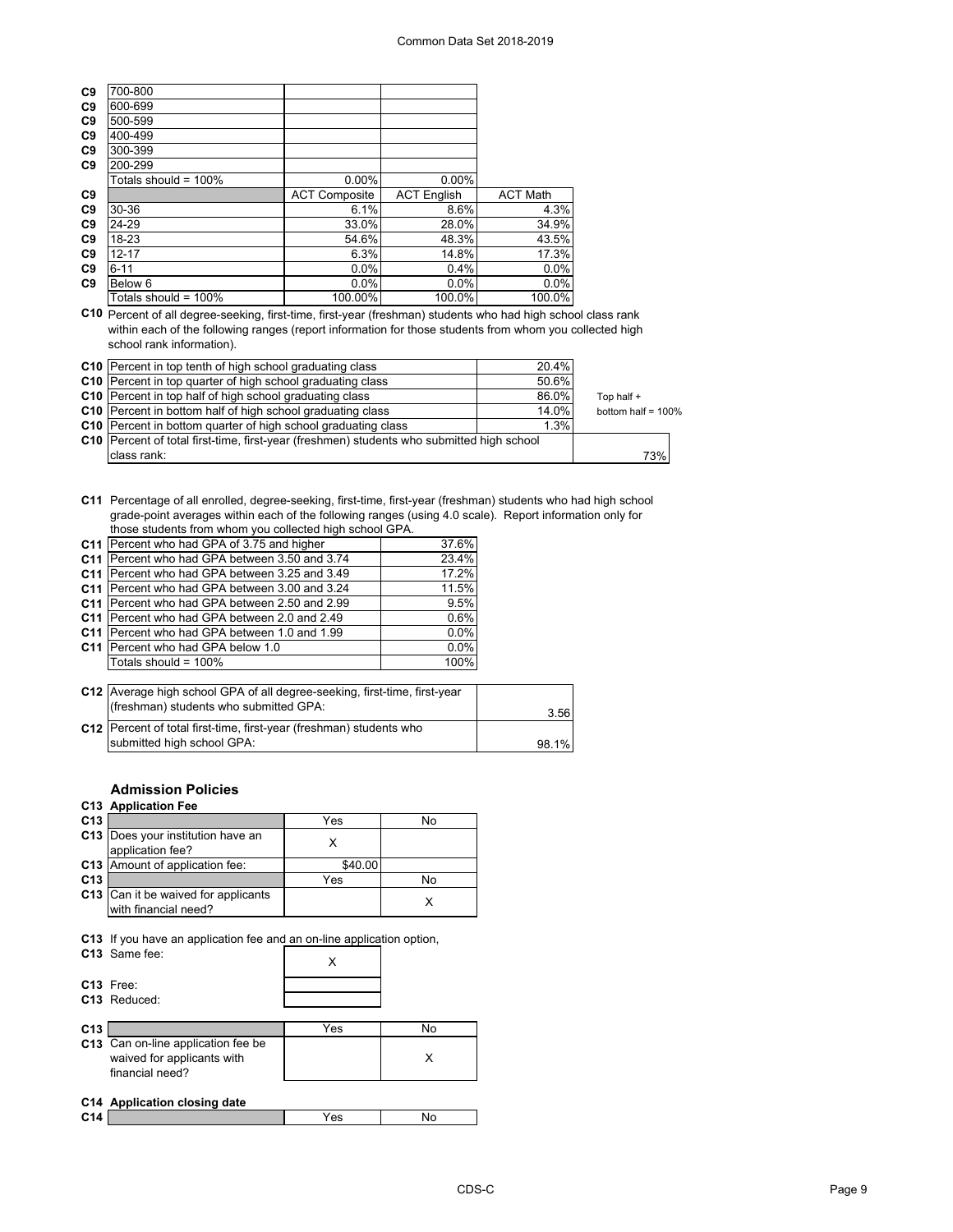| C <sub>9</sub> | 700-800                         |                      |                    |                 |
|----------------|---------------------------------|----------------------|--------------------|-----------------|
| C <sub>9</sub> | 600-699                         |                      |                    |                 |
| C <sub>9</sub> | 500-599                         |                      |                    |                 |
| C <sub>9</sub> | 400-499                         |                      |                    |                 |
| C <sub>9</sub> | 300-399                         |                      |                    |                 |
| C <sub>9</sub> | 200-299                         |                      |                    |                 |
|                | Totals should = 100% $^{\circ}$ | $0.00\%$             | $0.00\%$           |                 |
| C <sub>9</sub> |                                 | <b>ACT Composite</b> | <b>ACT English</b> | <b>ACT Math</b> |
| C <sub>9</sub> | 30-36                           | 6.1%                 | 8.6%               | 4.3%            |
| C <sub>9</sub> | 24-29                           | 33.0%                | 28.0%              | 34.9%           |
| C <sub>9</sub> | 18-23                           | 54.6%                | 48.3%              | 43.5%           |
| C <sub>9</sub> | $12 - 17$                       | 6.3%                 | 14.8%              | 17.3%           |
| C <sub>9</sub> | $6 - 11$                        | $0.0\%$              | 0.4%               | 0.0%            |
| C <sub>9</sub> | Below 6                         | 0.0%                 | $0.0\%$            | 0.0%            |
|                | Totals should = 100% $^{\circ}$ | 100.00%              | 100.0%             | 100.0%          |
|                |                                 |                      |                    |                 |

**C10** Percent of all degree-seeking, first-time, first-year (freshman) students who had high school class rank within each of the following ranges (report information for those students from whom you collected high school rank information).

| C10 Percent in top tenth of high school graduating class                                    | 20.4% |                       |
|---------------------------------------------------------------------------------------------|-------|-----------------------|
| <b>C10</b> Percent in top quarter of high school graduating class                           | 50.6% |                       |
| C10 Percent in top half of high school graduating class                                     | 86.0% | Top half +            |
| <b>C10</b> Percent in bottom half of high school graduating class                           | 14.0% | bottom half = $100\%$ |
| <b>C10</b> Percent in bottom quarter of high school graduating class                        | 1.3%  |                       |
| C10   Percent of total first-time, first-year (freshmen) students who submitted high school |       |                       |
| class rank:                                                                                 |       | 73%                   |

**C11** Percentage of all enrolled, degree-seeking, first-time, first-year (freshman) students who had high school grade-point averages within each of the following ranges (using 4.0 scale). Report information only for those students from whom you collected high school GPA.

| C11 Percent who had GPA of 3.75 and higher          | 37.6% |
|-----------------------------------------------------|-------|
| C11 Percent who had GPA between 3.50 and 3.74       | 23.4% |
| C11 Percent who had GPA between 3.25 and 3.49       | 17.2% |
| C11 Percent who had GPA between 3.00 and 3.24       | 11.5% |
| C11 Percent who had GPA between 2.50 and 2.99       | 9.5%  |
| C11 Percent who had GPA between 2.0 and 2.49        | 0.6%  |
| <b>C11</b> Percent who had GPA between 1.0 and 1.99 | 0.0%  |
| C11 Percent who had GPA below 1.0                   | 0.0%  |
| Totals should = 100%                                | 100%  |

| C12 Average high school GPA of all degree-seeking, first-time, first-year<br>(freshman) students who submitted GPA: | 3.56  |
|---------------------------------------------------------------------------------------------------------------------|-------|
| C12 Percent of total first-time, first-year (freshman) students who<br>submitted high school GPA:                   |       |
|                                                                                                                     | 98.1% |

## **Admission Policies**

## **C13 Application Fee**

| C <sub>13</sub> |                                                                                        | Yes     | No |
|-----------------|----------------------------------------------------------------------------------------|---------|----|
| C <sub>13</sub> | Does your institution have an<br>application fee?                                      | x       |    |
| C13             | Amount of application fee:                                                             | \$40.00 |    |
| C <sub>13</sub> |                                                                                        | Yes     | No |
|                 | C13 Can it be waived for applicants<br>with financial need?                            |         |    |
|                 | C13 If you have an application fee and an on-line application option,<br>C13 Same fee: |         |    |

|                 | C13 Free:<br>C <sub>13</sub> Reduced:                                               |     |    |
|-----------------|-------------------------------------------------------------------------------------|-----|----|
| C <sub>13</sub> |                                                                                     | Yes | No |
|                 | C13 Can on-line application fee be<br>waived for applicants with<br>financial need? |     | x  |
|                 | C14 Application closing date                                                        |     |    |
| C <sub>14</sub> |                                                                                     | Yes | N٥ |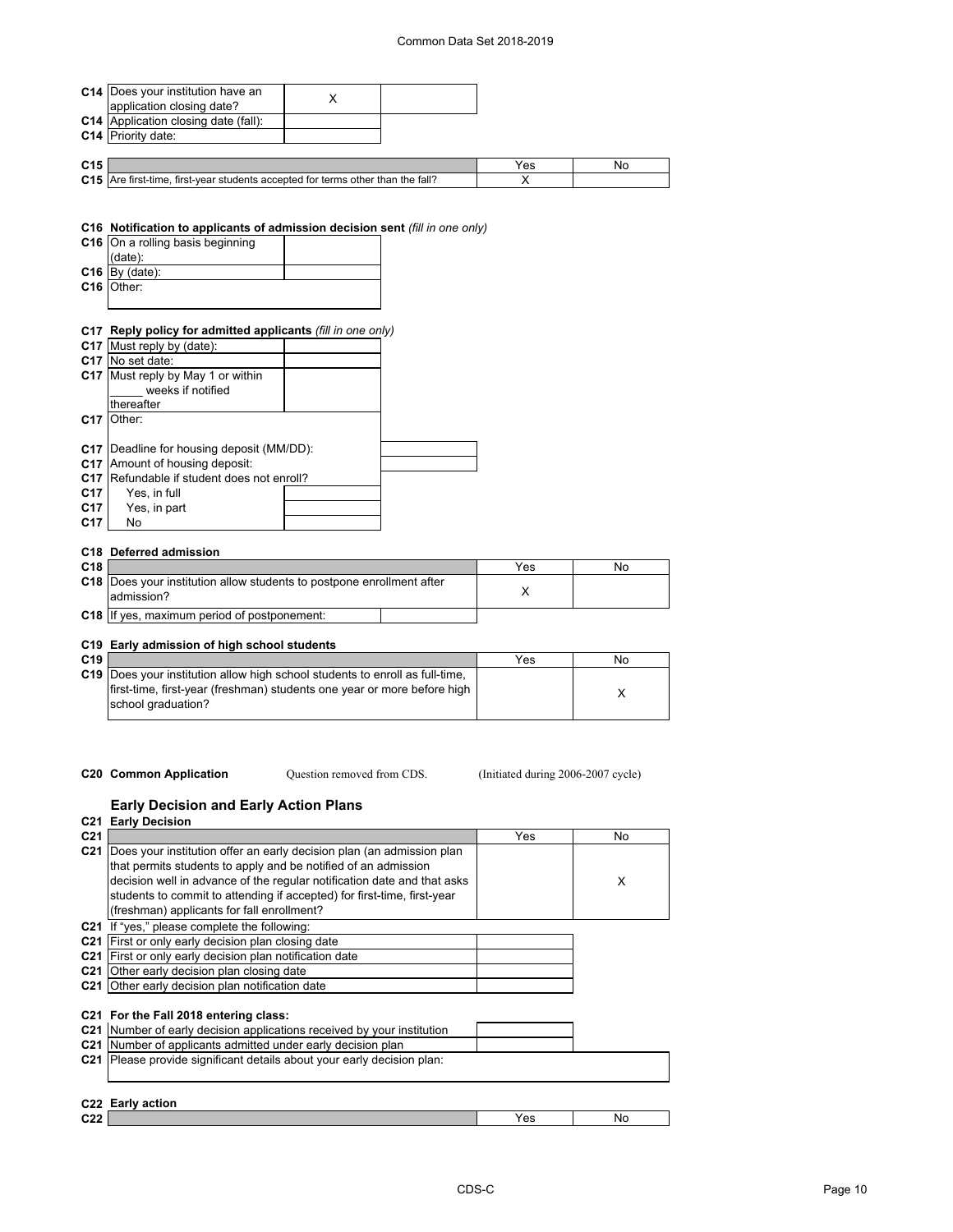|                 | C14   Does your institution have an                                             |                            |                                    |    |
|-----------------|---------------------------------------------------------------------------------|----------------------------|------------------------------------|----|
|                 | application closing date?                                                       | X                          |                                    |    |
|                 | <b>C14</b> Application closing date (fall):                                     |                            |                                    |    |
|                 | C14 Priority date:                                                              |                            |                                    |    |
|                 |                                                                                 |                            |                                    |    |
| C <sub>15</sub> |                                                                                 |                            | Yes                                | No |
|                 | C15 Are first-time, first-year students accepted for terms other than the fall? |                            | х                                  |    |
|                 |                                                                                 |                            |                                    |    |
|                 |                                                                                 |                            |                                    |    |
|                 |                                                                                 |                            |                                    |    |
|                 | C16 Notification to applicants of admission decision sent (fill in one only)    |                            |                                    |    |
|                 | C16 On a rolling basis beginning                                                |                            |                                    |    |
|                 | (date):                                                                         |                            |                                    |    |
|                 | $C16$ By (date):                                                                |                            |                                    |    |
|                 | C <sub>16</sub> Other:                                                          |                            |                                    |    |
|                 |                                                                                 |                            |                                    |    |
|                 |                                                                                 |                            |                                    |    |
|                 | C17 Reply policy for admitted applicants (fill in one only)                     |                            |                                    |    |
|                 | C17 Must reply by (date):                                                       |                            |                                    |    |
|                 | C17 No set date:                                                                |                            |                                    |    |
|                 | C17 Must reply by May 1 or within                                               |                            |                                    |    |
|                 | weeks if notified                                                               |                            |                                    |    |
|                 | thereafter                                                                      |                            |                                    |    |
|                 | C17 Other:                                                                      |                            |                                    |    |
|                 |                                                                                 |                            |                                    |    |
|                 | C17   Deadline for housing deposit (MM/DD):                                     |                            |                                    |    |
|                 | C17 Amount of housing deposit:                                                  |                            |                                    |    |
|                 | C17 Refundable if student does not enroll?                                      |                            |                                    |    |
| C17             | Yes, in full                                                                    |                            |                                    |    |
| C17             | Yes, in part                                                                    |                            |                                    |    |
| C17             | No                                                                              |                            |                                    |    |
|                 |                                                                                 |                            |                                    |    |
|                 | C18 Deferred admission                                                          |                            |                                    |    |
| C <sub>18</sub> |                                                                                 |                            | Yes                                | No |
|                 | C18 Does your institution allow students to postpone enrollment after           |                            | X                                  |    |
|                 | admission?                                                                      |                            |                                    |    |
|                 | C18 If yes, maximum period of postponement:                                     |                            |                                    |    |
|                 |                                                                                 |                            |                                    |    |
|                 | C19 Early admission of high school students                                     |                            |                                    |    |
| C <sub>19</sub> |                                                                                 |                            | Yes                                | No |
|                 | C19 Does your institution allow high school students to enroll as full-time,    |                            |                                    |    |
|                 | first-time, first-year (freshman) students one year or more before high         |                            |                                    | Х  |
|                 | school graduation?                                                              |                            |                                    |    |
|                 |                                                                                 |                            |                                    |    |
|                 |                                                                                 |                            |                                    |    |
|                 |                                                                                 |                            |                                    |    |
|                 |                                                                                 |                            |                                    |    |
|                 | <b>C20 Common Application</b>                                                   | Question removed from CDS. | (Initiated during 2006-2007 cycle) |    |
|                 |                                                                                 |                            |                                    |    |
|                 | <b>Early Decision and Early Action Plans</b>                                    |                            |                                    |    |
|                 | <b>C21 Early Decision</b>                                                       |                            |                                    |    |
| C21             |                                                                                 |                            | Yes                                | No |
|                 |                                                                                 |                            |                                    |    |

| v∠ i            |                                                                                                                                                                                                                                                                                                                                                 | . | ᠁ |
|-----------------|-------------------------------------------------------------------------------------------------------------------------------------------------------------------------------------------------------------------------------------------------------------------------------------------------------------------------------------------------|---|---|
|                 | C21 Does your institution offer an early decision plan (an admission plan<br>that permits students to apply and be notified of an admission<br>decision well in advance of the regular notification date and that asks<br>students to commit to attending if accepted) for first-time, first-year<br>(freshman) applicants for fall enrollment? |   | X |
|                 |                                                                                                                                                                                                                                                                                                                                                 |   |   |
|                 | C21 If "yes," please complete the following:                                                                                                                                                                                                                                                                                                    |   |   |
|                 | C21 First or only early decision plan closing date                                                                                                                                                                                                                                                                                              |   |   |
| C <sub>21</sub> | First or only early decision plan notification date                                                                                                                                                                                                                                                                                             |   |   |
| C <sub>21</sub> | Other early decision plan closing date                                                                                                                                                                                                                                                                                                          |   |   |
|                 | C21 Other early decision plan notification date                                                                                                                                                                                                                                                                                                 |   |   |
|                 | C21 For the Fall 2018 entering class:<br>C21 Number of early decision applications received by your institution<br>C21 Number of applicants admitted under early decision plan                                                                                                                                                                  |   |   |
|                 | C21 Please provide significant details about your early decision plan:                                                                                                                                                                                                                                                                          |   |   |
|                 | C <sub>22</sub> Early action                                                                                                                                                                                                                                                                                                                    |   |   |

|                        | C22 Early action |     |    |
|------------------------|------------------|-----|----|
| C <sub>22</sub><br>--- |                  | Yes | No |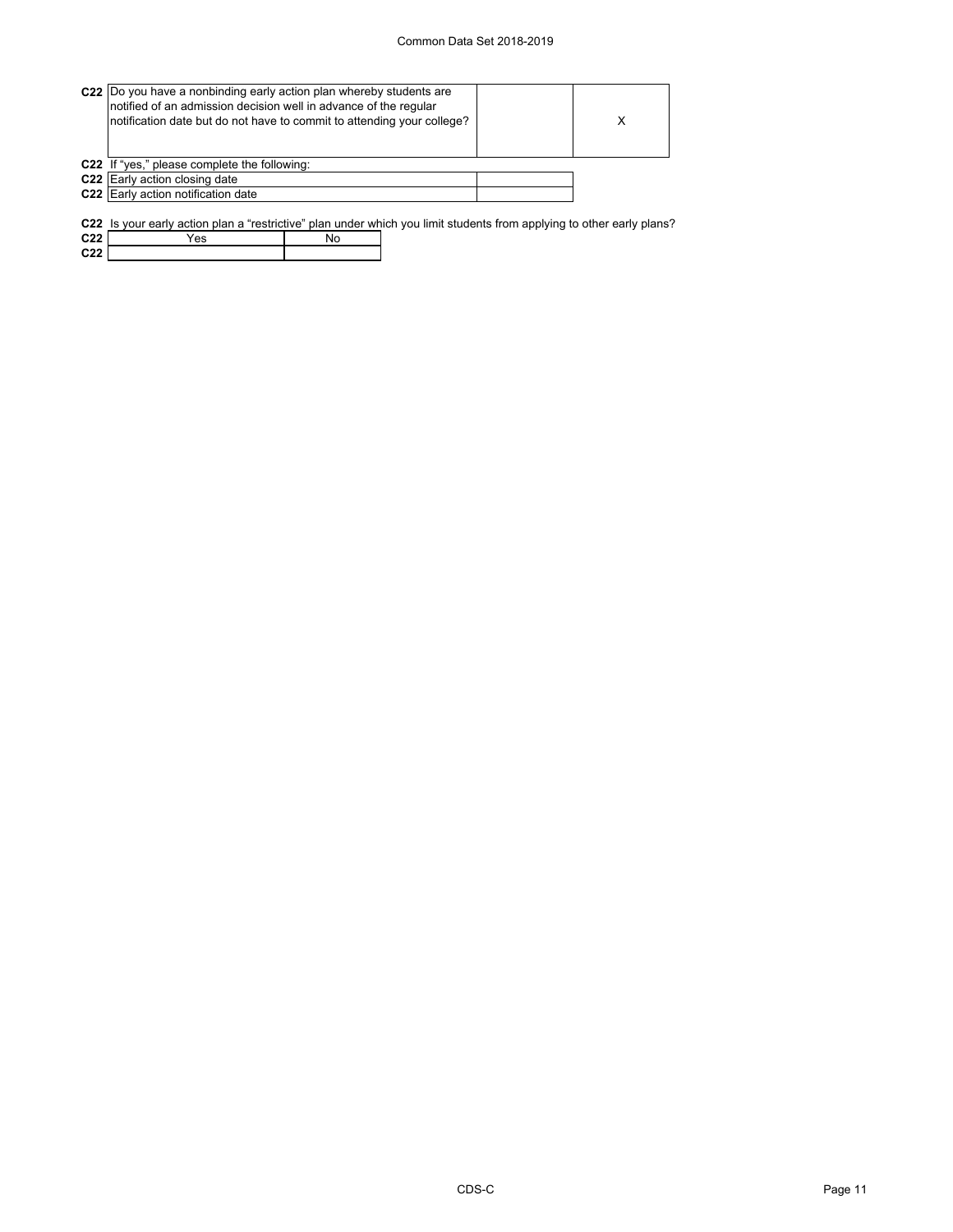#### Common Data Set 2018-2019

| C22 Do you have a nonbinding early action plan whereby students are<br>notified of an admission decision well in advance of the regular<br>notification date but do not have to commit to attending your college? | X |
|-------------------------------------------------------------------------------------------------------------------------------------------------------------------------------------------------------------------|---|
| C22 If "yes," please complete the following:                                                                                                                                                                      |   |
| C22 Early action closing date                                                                                                                                                                                     |   |
| C22 Early action notification date                                                                                                                                                                                |   |
|                                                                                                                                                                                                                   |   |

**C22** Is your early action plan a "restrictive" plan under which you limit students from applying to other early plans?

| C <sub>22</sub> | es |  |
|-----------------|----|--|
| 0.22<br>---     |    |  |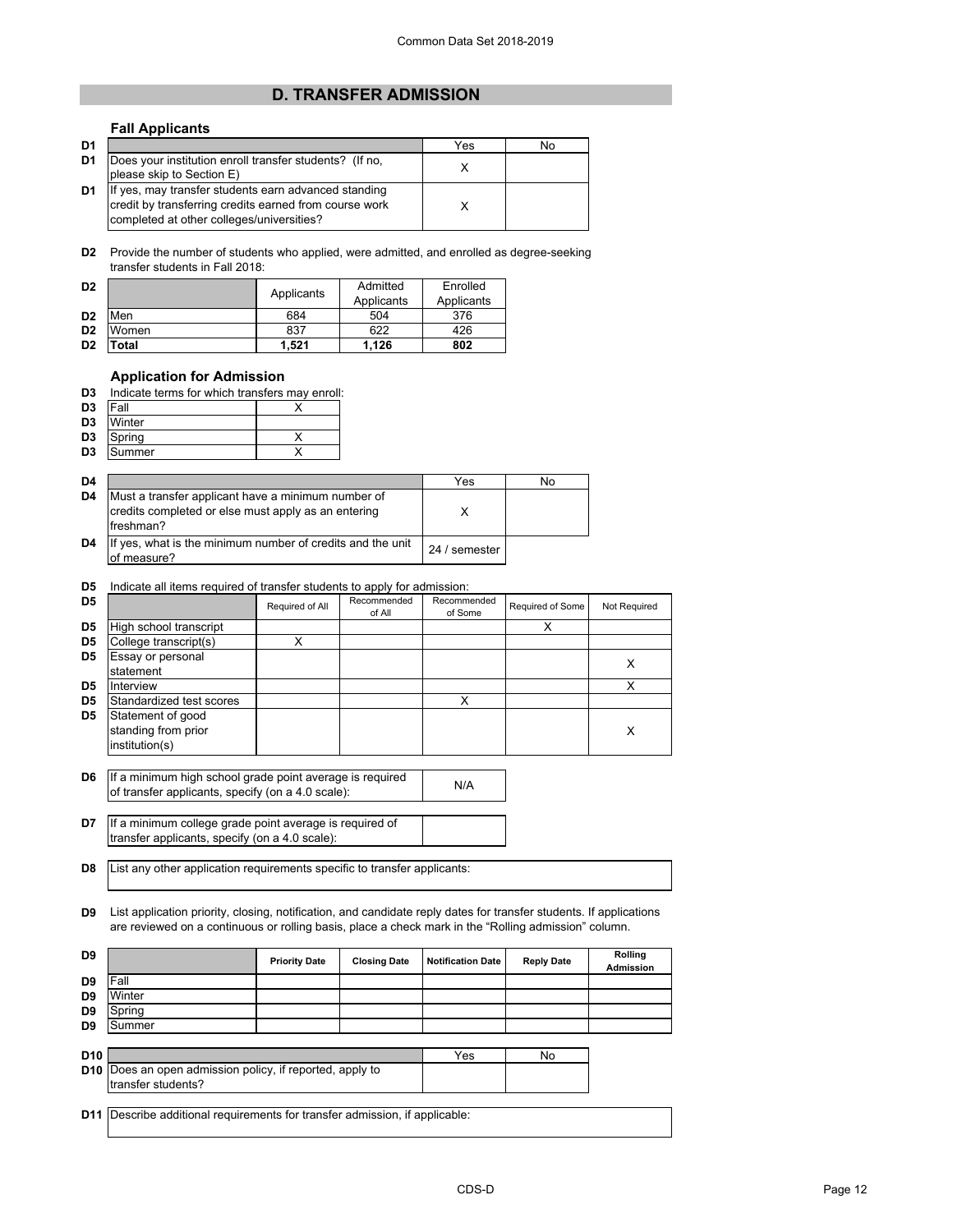## **D. TRANSFER ADMISSION**

## **Fall Applicants**

| D <sub>1</sub> |                                                         | Yes | No |  |
|----------------|---------------------------------------------------------|-----|----|--|
| D1             | Does your institution enroll transfer students? (If no, |     |    |  |
|                | please skip to Section E)                               |     |    |  |
| D1             | If yes, may transfer students earn advanced standing    |     |    |  |
|                | credit by transferring credits earned from course work  |     |    |  |
|                | completed at other colleges/universities?               |     |    |  |

**D2** Provide the number of students who applied, were admitted, and enrolled as degree-seeking transfer students in Fall 2018:

| D <sub>2</sub> |       | Applicants | Admitted   | Enrolled   |
|----------------|-------|------------|------------|------------|
|                |       |            | Applicants | Applicants |
| D <sub>2</sub> | Men   | 684        | 504        | 376        |
| D <sub>2</sub> | Women | 837        | 622        | 426        |
| D <sub>2</sub> | Total | 1.521      | 1.126      | 802        |

## **Application for Admission**

| D3 |  |  |  |  | Indicate terms for which transfers may enroll: |  |  |
|----|--|--|--|--|------------------------------------------------|--|--|
|----|--|--|--|--|------------------------------------------------|--|--|

| D <sub>3</sub> | <b>IFall</b> |  |
|----------------|--------------|--|
| D <sub>3</sub> | Winter       |  |
| D <sub>3</sub> | Spring       |  |
| D <sub>3</sub> | Summer       |  |

| D4             |                                                                                                                         | Yes           | No |
|----------------|-------------------------------------------------------------------------------------------------------------------------|---------------|----|
| D <sub>4</sub> | Must a transfer applicant have a minimum number of<br>credits completed or else must apply as an entering<br>Ifreshman? |               |    |
| D <sub>4</sub> | If yes, what is the minimum number of credits and the unit<br>of measure?                                               | 24 / semester |    |

#### **D5** Indicate all items required of transfer students to apply for admission:

| D <sub>5</sub> |                                                            | Required of All | Recommended<br>of All | Recommended<br>of Some | Required of Some | Not Required |
|----------------|------------------------------------------------------------|-----------------|-----------------------|------------------------|------------------|--------------|
| D <sub>5</sub> | High school transcript                                     |                 |                       |                        |                  |              |
| D <sub>5</sub> | College transcript(s)                                      |                 |                       |                        |                  |              |
| D <sub>5</sub> | Essay or personal<br>statement                             |                 |                       |                        |                  | х            |
| D <sub>5</sub> | Interview                                                  |                 |                       |                        |                  |              |
| D <sub>5</sub> | Standardized test scores                                   |                 |                       |                        |                  |              |
| D <sub>5</sub> | Statement of good<br>standing from prior<br>institution(s) |                 |                       |                        |                  | Х            |

**D6** If a minimum high school grade point average is required<br>
of transfer applicants, specify (an a 4.0 scale): of transfer applicants, specify (on a 4.0 scale):

**D7** If a minimum college grade point average is required of transfer applicants, specify (on a 4.0 scale):

**D8** List any other application requirements specific to transfer applicants:

**D9** List application priority, closing, notification, and candidate reply dates for transfer students. If applications are reviewed on a continuous or rolling basis, place a check mark in the "Rolling admission" column.

| D <sub>9</sub>  |                                                                            | <b>Priority Date</b> | <b>Closing Date</b> | <b>Notification Date</b> | <b>Reply Date</b> | Rollina<br><b>Admission</b> |
|-----------------|----------------------------------------------------------------------------|----------------------|---------------------|--------------------------|-------------------|-----------------------------|
| D9              | Fall                                                                       |                      |                     |                          |                   |                             |
| D9              | Winter                                                                     |                      |                     |                          |                   |                             |
| D9              | Spring                                                                     |                      |                     |                          |                   |                             |
| D <sub>9</sub>  | Summer                                                                     |                      |                     |                          |                   |                             |
|                 |                                                                            |                      |                     |                          |                   |                             |
| D <sub>10</sub> |                                                                            |                      |                     | Yes                      | No                |                             |
| D <sub>10</sub> | Does an open admission policy, if reported, apply to<br>transfer students? |                      |                     |                          |                   |                             |
|                 |                                                                            |                      |                     |                          |                   |                             |
| D11             | Describe additional requirements for transfer admission, if applicable:    |                      |                     |                          |                   |                             |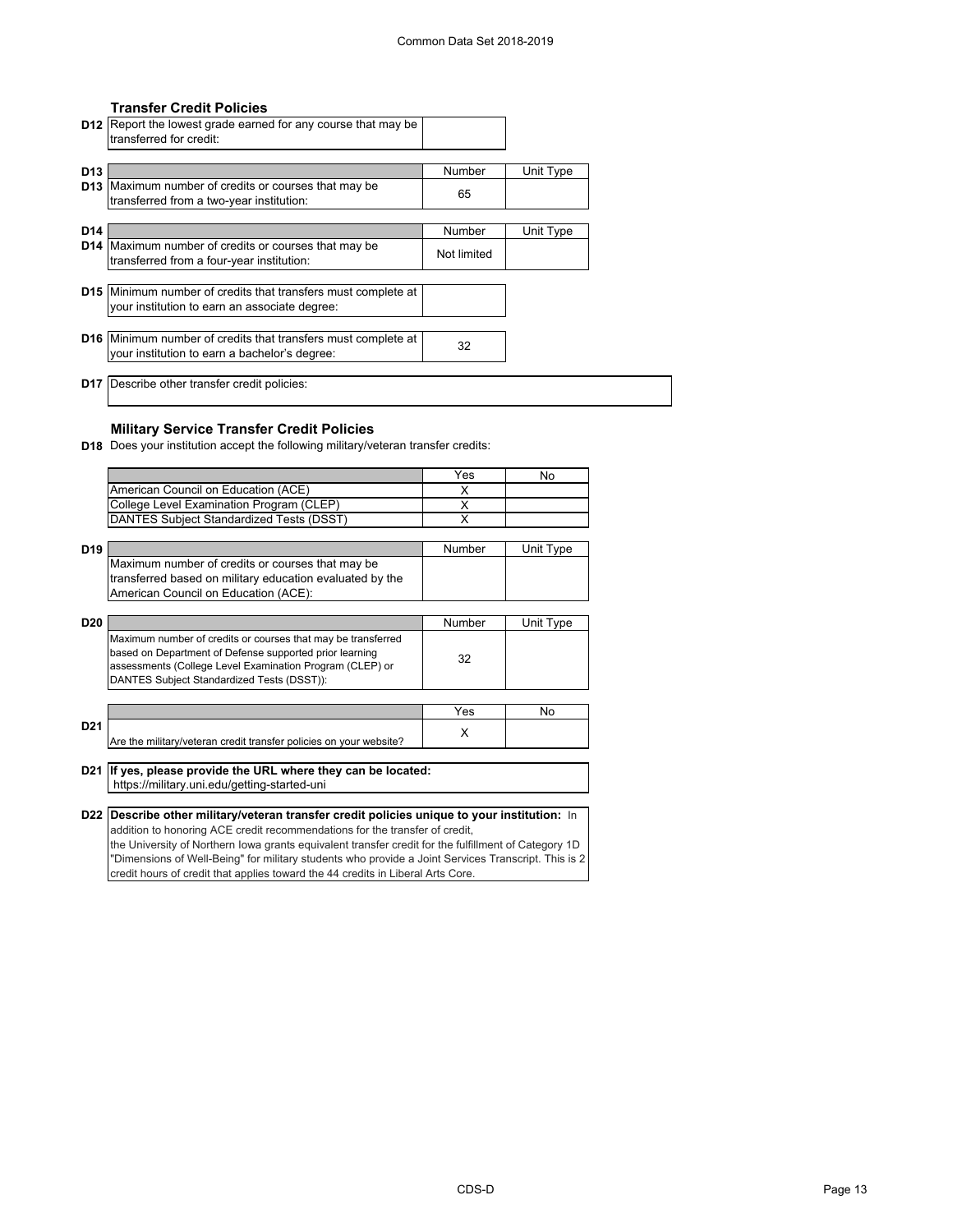### **Transfer Credit Policies**

|                 | <b>D12</b> Report the lowest grade earned for any course that may be<br>transferred for credit:                       |                              |           |
|-----------------|-----------------------------------------------------------------------------------------------------------------------|------------------------------|-----------|
| D <sub>13</sub> | <b>D13</b> Maximum number of credits or courses that may be<br>transferred from a two-year institution:               | Number<br>65                 | Unit Type |
| D <sub>14</sub> | <b>D14</b> Maximum number of credits or courses that may be<br>transferred from a four-year institution:              | <b>Number</b><br>Not limited | Unit Type |
|                 | <b>D15</b> Minimum number of credits that transfers must complete at<br>your institution to earn an associate degree: |                              |           |
|                 | <b>D16</b> Minimum number of credits that transfers must complete at<br>your institution to earn a bachelor's degree: | 32                           |           |
|                 | <b>D17</b> Describe other transfer credit policies:                                                                   |                              |           |

## **Military Service Transfer Credit Policies**

**D18** Does your institution accept the following military/veteran transfer credits:

|                 |                                                                                                                                                                                                                                   | Yes           | No        |
|-----------------|-----------------------------------------------------------------------------------------------------------------------------------------------------------------------------------------------------------------------------------|---------------|-----------|
|                 | American Council on Education (ACE)                                                                                                                                                                                               | X             |           |
|                 | College Level Examination Program (CLEP)                                                                                                                                                                                          | X             |           |
|                 | DANTES Subject Standardized Tests (DSST)                                                                                                                                                                                          | X             |           |
|                 |                                                                                                                                                                                                                                   |               |           |
| D <sub>19</sub> |                                                                                                                                                                                                                                   | <b>Number</b> | Unit Type |
|                 | Maximum number of credits or courses that may be<br>transferred based on military education evaluated by the<br>American Council on Education (ACE):                                                                              |               |           |
|                 |                                                                                                                                                                                                                                   |               |           |
| D <sub>20</sub> |                                                                                                                                                                                                                                   | Number        | Unit Type |
|                 | Maximum number of credits or courses that may be transferred<br>based on Department of Defense supported prior learning<br>assessments (College Level Examination Program (CLEP) or<br>DANTES Subject Standardized Tests (DSST)): | 32            |           |
|                 |                                                                                                                                                                                                                                   |               |           |
|                 |                                                                                                                                                                                                                                   | Yes           | No        |
| D <sub>21</sub> | Are the military/veteran credit transfer policies on your website?                                                                                                                                                                | X             |           |
|                 |                                                                                                                                                                                                                                   |               |           |
| D <sub>21</sub> | If yes, please provide the URL where they can be located:<br>https://military.uni.edu/getting-started-uni                                                                                                                         |               |           |
|                 |                                                                                                                                                                                                                                   |               |           |
| D <sub>22</sub> | Describe other military/veteran transfer credit policies unique to your institution: In                                                                                                                                           |               |           |
|                 | addition to honoring ACE credit recommendations for the transfer of credit,                                                                                                                                                       |               |           |
|                 | the University of Northern lowa grants equivalent transfer credit for the fulfillment of Category 1D                                                                                                                              |               |           |
|                 | "Dimensions of Well-Being" for military students who provide a Joint Services Transcript. This is 2                                                                                                                               |               |           |

credit hours of credit that applies toward the 44 credits in Liberal Arts Core.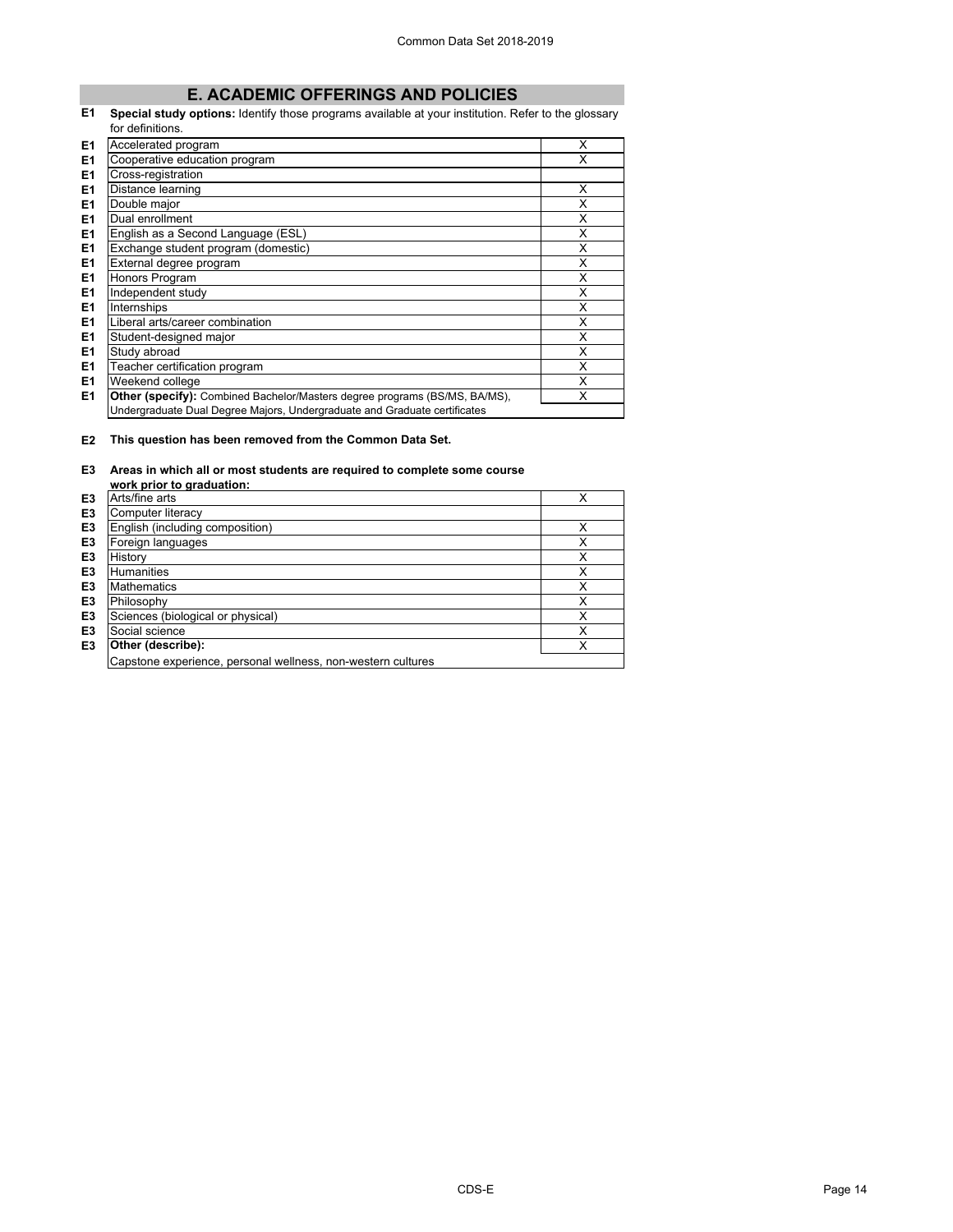## **E. ACADEMIC OFFERINGS AND POLICIES**

#### **E1 Special study options:** Identify those programs available at your institution. Refer to the glossary for definitions.

| E <sub>1</sub> | Accelerated program                                                               | X |
|----------------|-----------------------------------------------------------------------------------|---|
| E1             | Cooperative education program                                                     | X |
| E1             | Cross-registration                                                                |   |
| E1             | Distance learning                                                                 | X |
| E1             | Double major                                                                      | X |
| E <sub>1</sub> | Dual enrollment                                                                   | X |
| E1             | English as a Second Language (ESL)                                                | X |
| E1             | Exchange student program (domestic)                                               | X |
| E <sub>1</sub> | External degree program                                                           | x |
| E <sub>1</sub> | Honors Program                                                                    | X |
| E1             | Independent study                                                                 | X |
| E <sub>1</sub> | Internships                                                                       | X |
| E <sub>1</sub> | Liberal arts/career combination                                                   | X |
| E1             | Student-designed major                                                            | X |
| E <sub>1</sub> | Study abroad                                                                      | X |
| E1             | Teacher certification program                                                     | X |
| E <sub>1</sub> | Weekend college                                                                   | X |
| E1             | <b>Other (specify):</b> Combined Bachelor/Masters degree programs (BS/MS, BA/MS), | X |
|                | Undergraduate Dual Degree Majors, Undergraduate and Graduate certificates         |   |

## **E2 This question has been removed from the Common Data Set.**

## **E3 Areas in which all or most students are required to complete some course**

|                | work prior to graduation:                                    |   |
|----------------|--------------------------------------------------------------|---|
| E3             | Arts/fine arts                                               | х |
| E <sub>3</sub> | Computer literacy                                            |   |
| E <sub>3</sub> | English (including composition)                              |   |
| E <sub>3</sub> | Foreign languages                                            | x |
| E <sub>3</sub> | History                                                      | x |
| E <sub>3</sub> | <b>Humanities</b>                                            | x |
| E <sub>3</sub> | <b>Mathematics</b>                                           | x |
| E <sub>3</sub> | Philosophy                                                   | x |
| E <sub>3</sub> | Sciences (biological or physical)                            | Χ |
| E <sub>3</sub> | Social science                                               | Χ |
| E3             | Other (describe):                                            | X |
|                | Capstone experience, personal wellness, non-western cultures |   |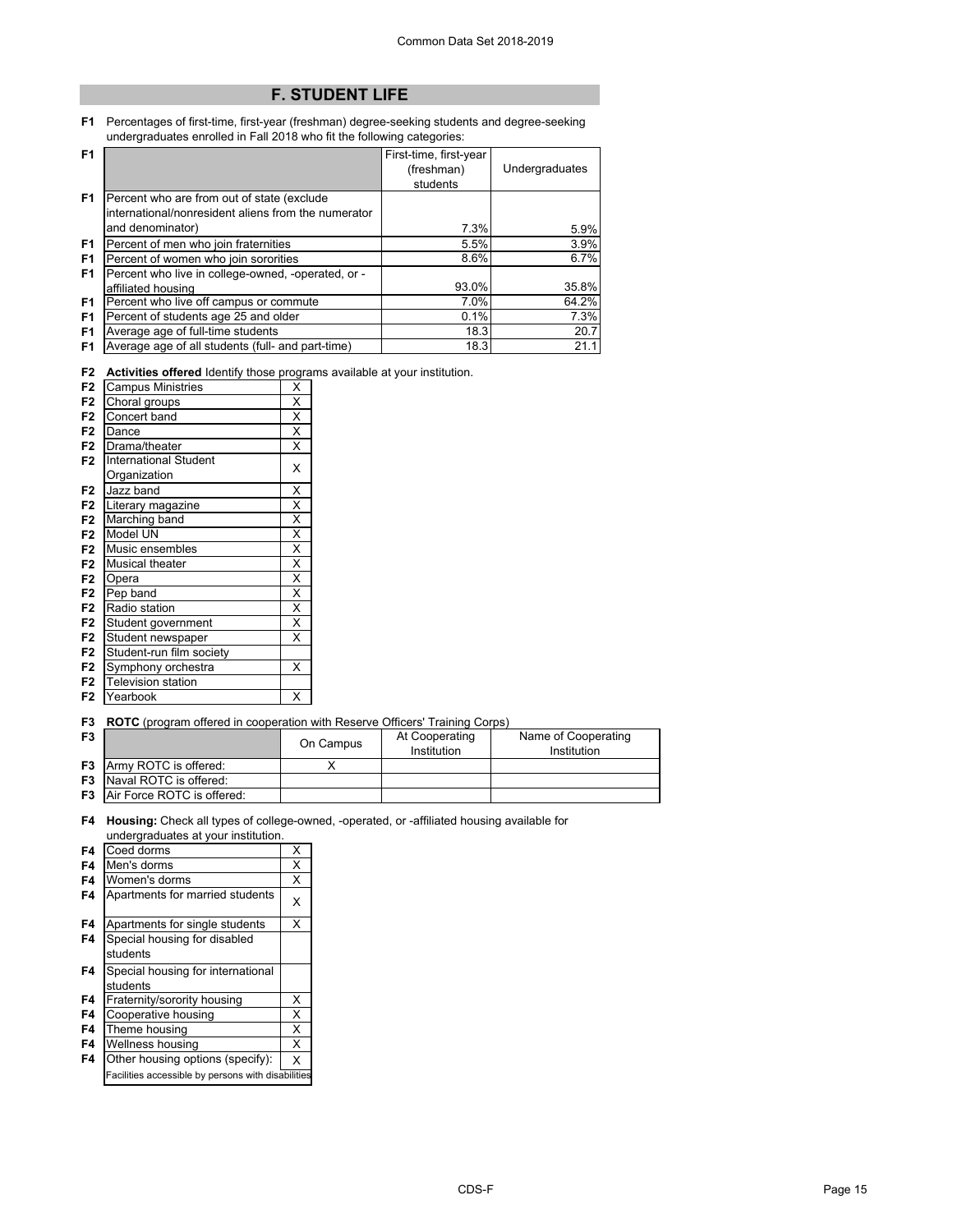# **F. STUDENT LIFE**

**F1** Percentages of first-time, first-year (freshman) degree-seeking students and degree-seeking undergraduates enrolled in Fall 2018 who fit the following categories:

| F <sub>1</sub> |                                                     | First-time, first-year |                |
|----------------|-----------------------------------------------------|------------------------|----------------|
|                |                                                     | (freshman)             | Undergraduates |
|                |                                                     | students               |                |
| F <sub>1</sub> | Percent who are from out of state (exclude          |                        |                |
|                | international/nonresident aliens from the numerator |                        |                |
|                | and denominator)                                    | 7.3%                   | 5.9%           |
| F <sub>1</sub> | Percent of men who join fraternities                | 5.5%                   | 3.9%           |
| F <sub>1</sub> | Percent of women who join sororities                | 8.6%                   | 6.7%           |
| F1             | Percent who live in college-owned, -operated, or -  |                        |                |
|                | affiliated housing                                  | 93.0%                  | 35.8%          |
| F <sub>1</sub> | Percent who live off campus or commute              | 7.0%                   | 64.2%          |
| F <sub>1</sub> | Percent of students age 25 and older                | 0.1%                   | 7.3%           |
| F <sub>1</sub> | Average age of full-time students                   | 18.3                   | 20.7           |
| F <sub>1</sub> | Average age of all students (full- and part-time)   | 18.3                   | 21.1           |

**F2 Activities offered** Identify those programs available at your institution.

| F <sub>2</sub> | <b>Campus Ministries</b>     | X                       |
|----------------|------------------------------|-------------------------|
| F <sub>2</sub> | Choral groups                | X                       |
| F <sub>2</sub> | Concert band                 | X                       |
| F <sub>2</sub> | Dance                        | $\overline{\mathsf{x}}$ |
| F <sub>2</sub> | Drama/theater                | X                       |
| F <sub>2</sub> | <b>International Student</b> | X                       |
|                | Organization                 |                         |
| F <sub>2</sub> | Jazz band                    | Χ                       |
| F <sub>2</sub> | Literary magazine            | $\overline{\mathsf{x}}$ |
| F <sub>2</sub> | Marching band                | $\overline{\mathsf{x}}$ |
| F <sub>2</sub> | Model UN                     | $\overline{\mathsf{x}}$ |
| F <sub>2</sub> | Music ensembles              | $\overline{\mathsf{x}}$ |
| F <sub>2</sub> | Musical theater              | X                       |
| F <sub>2</sub> | Opera                        | $\overline{\mathsf{x}}$ |
| F <sub>2</sub> | Pep band                     | $\overline{\mathsf{x}}$ |
| F <sub>2</sub> | Radio station                | X                       |
| F <sub>2</sub> | Student government           | $\overline{\mathsf{x}}$ |
| F <sub>2</sub> | Student newspaper            | X                       |
| F <sub>2</sub> | Student-run film society     |                         |
| F <sub>2</sub> | Symphony orchestra           | X                       |
| F <sub>2</sub> | <b>Television station</b>    |                         |
| F <sub>2</sub> | Yearbook                     | X                       |

**F3 ROTC** (program offered in cooperation with Reserve Officers' Training Corps)

| F <sub>3</sub> |                                      | On Campus | At Cooperating<br>Institution | Name of Cooperating<br>Institution |
|----------------|--------------------------------------|-----------|-------------------------------|------------------------------------|
|                | <b>F3</b> Army ROTC is offered:      |           |                               |                                    |
|                | <b>F3</b> Naval ROTC is offered:     |           |                               |                                    |
|                | <b>F3</b> Air Force ROTC is offered: |           |                               |                                    |

**F4 Housing:** Check all types of college-owned, -operated, or -affiliated housing available for undergraduates at your institution.

| anaorgraaaatoo at your mothation.                  |   |
|----------------------------------------------------|---|
| Coed dorms                                         | X |
| Men's dorms                                        | X |
| Women's dorms                                      | X |
| Apartments for married students                    | X |
| Apartments for single students                     | X |
| Special housing for disabled                       |   |
| students                                           |   |
| Special housing for international                  |   |
| students                                           |   |
| Fraternity/sorority housing                        | х |
| Cooperative housing                                | X |
| Theme housing                                      | X |
| Wellness housing                                   | X |
| Other housing options (specify):                   | X |
| Facilities accessible by persons with disabilities |   |
|                                                    |   |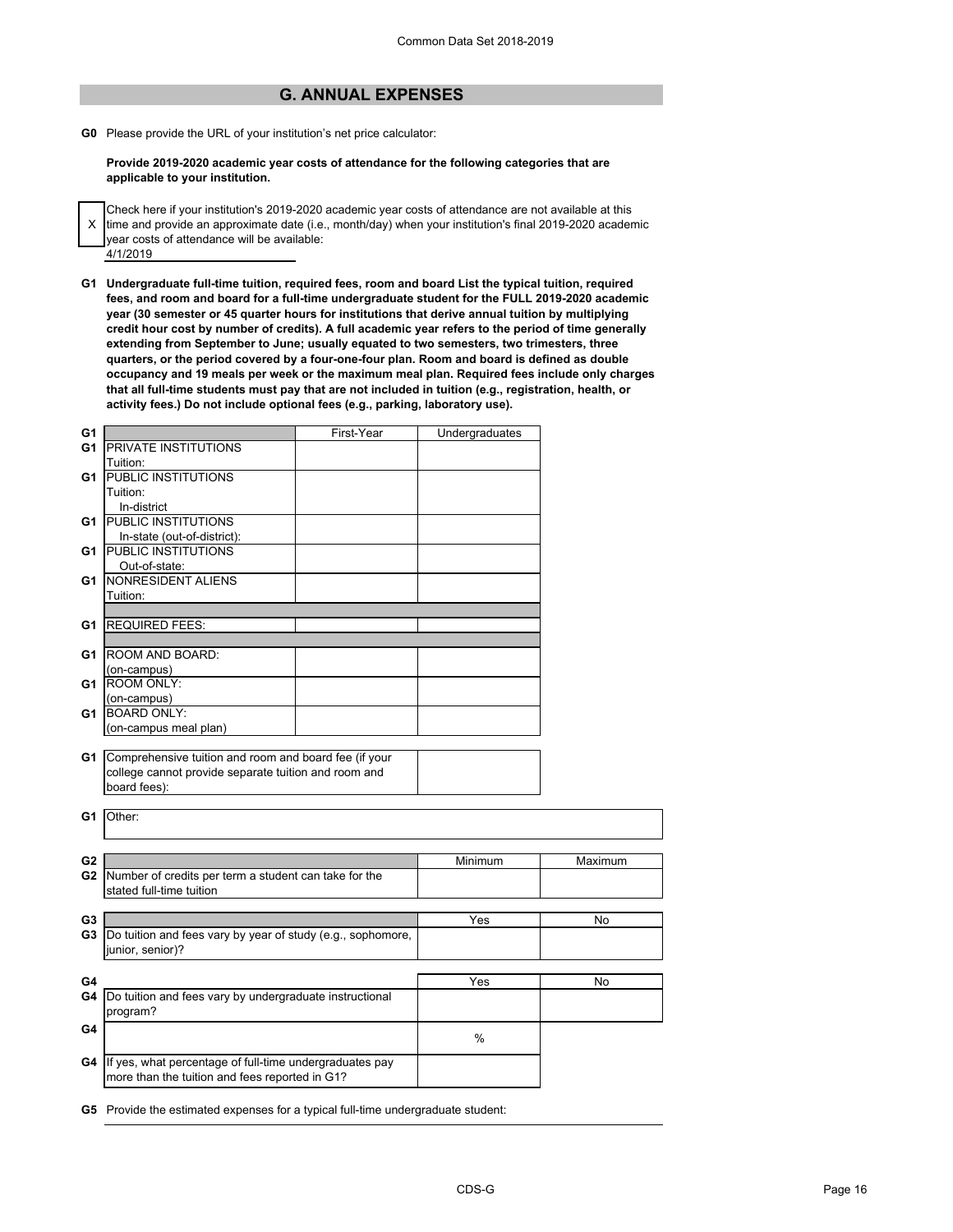## **G. ANNUAL EXPENSES**

**G0** Please provide the URL of your institution's net price calculator:

**Provide 2019-2020 academic year costs of attendance for the following categories that are applicable to your institution.**

- Check here if your institution's 2019-2020 academic year costs of attendance are not available at this
- X 4/1/2019 time and provide an approximate date (i.e., month/day) when your institution's final 2019-2020 academic year costs of attendance will be available:
- **G1 Undergraduate full-time tuition, required fees, room and board List the typical tuition, required fees, and room and board for a full-time undergraduate student for the FULL 2019-2020 academic year (30 semester or 45 quarter hours for institutions that derive annual tuition by multiplying credit hour cost by number of credits). A full academic year refers to the period of time generally extending from September to June; usually equated to two semesters, two trimesters, three quarters, or the period covered by a four-one-four plan. Room and board is defined as double occupancy and 19 meals per week or the maximum meal plan. Required fees include only charges that all full-time students must pay that are not included in tuition (e.g., registration, health, or activity fees.) Do not include optional fees (e.g., parking, laboratory use).**

| G1             |                                                             | First-Year | Undergraduates |         |
|----------------|-------------------------------------------------------------|------------|----------------|---------|
| G <sub>1</sub> | PRIVATE INSTITUTIONS                                        |            |                |         |
|                | Tuition:                                                    |            |                |         |
| G1             | PUBLIC INSTITUTIONS                                         |            |                |         |
|                | Tuition:                                                    |            |                |         |
|                | In-district                                                 |            |                |         |
| G1             | PUBLIC INSTITUTIONS                                         |            |                |         |
|                | In-state (out-of-district):                                 |            |                |         |
| G1             | PUBLIC INSTITUTIONS                                         |            |                |         |
|                | Out-of-state:                                               |            |                |         |
| G1             | NONRESIDENT ALIENS                                          |            |                |         |
|                | Tuition:                                                    |            |                |         |
|                |                                                             |            |                |         |
|                | <b>REQUIRED FEES:</b>                                       |            |                |         |
| G1             |                                                             |            |                |         |
|                | ROOM AND BOARD:                                             |            |                |         |
| G1             |                                                             |            |                |         |
|                | (on-campus)<br>ROOM ONLY:                                   |            |                |         |
| G1             |                                                             |            |                |         |
|                | (on-campus)                                                 |            |                |         |
| G1             | <b>BOARD ONLY:</b>                                          |            |                |         |
|                | (on-campus meal plan)                                       |            |                |         |
|                |                                                             |            |                |         |
| G1             | Comprehensive tuition and room and board fee (if your       |            |                |         |
|                | college cannot provide separate tuition and room and        |            |                |         |
|                | board fees):                                                |            |                |         |
|                |                                                             |            |                |         |
| G1             | Other:                                                      |            |                |         |
|                |                                                             |            |                |         |
| G2             |                                                             |            | Minimum        | Maximum |
|                |                                                             |            |                |         |
| G <sub>2</sub> | Number of credits per term a student can take for the       |            |                |         |
|                | stated full-time tuition                                    |            |                |         |
| G <sub>3</sub> |                                                             |            | Yes            | No      |
| G3             |                                                             |            |                |         |
|                | Do tuition and fees vary by year of study (e.g., sophomore, |            |                |         |
|                | junior, senior)?                                            |            |                |         |
|                |                                                             |            |                |         |
| G4             |                                                             |            | Yes            | No      |
| G4             | Do tuition and fees vary by undergraduate instructional     |            |                |         |
|                | program?                                                    |            |                |         |
| G4             |                                                             |            | $\frac{0}{0}$  |         |
|                |                                                             |            |                |         |
| G4             | If yes, what percentage of full-time undergraduates pay     |            |                |         |
|                | more than the tuition and fees reported in G1?              |            |                |         |
|                |                                                             |            |                |         |

**G5** Provide the estimated expenses for a typical full-time undergraduate student: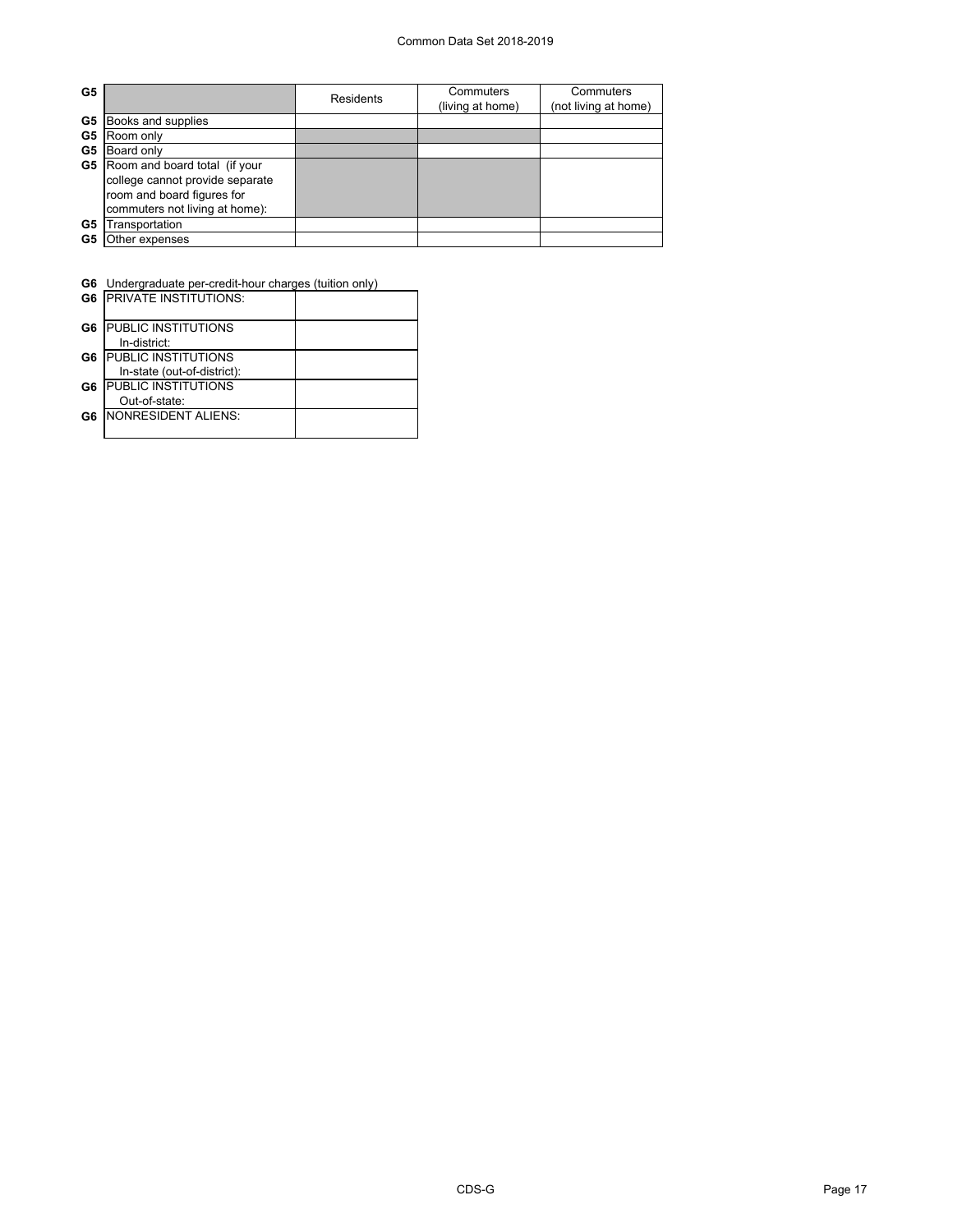### Common Data Set 2018-2019

| G5 |                                 | Residents | Commuters<br>(living at home) | Commuters<br>(not living at home) |  |
|----|---------------------------------|-----------|-------------------------------|-----------------------------------|--|
| G5 | Books and supplies              |           |                               |                                   |  |
| G5 | Room only                       |           |                               |                                   |  |
| G5 | Board only                      |           |                               |                                   |  |
| G5 | Room and board total (if your   |           |                               |                                   |  |
|    | college cannot provide separate |           |                               |                                   |  |
|    | room and board figures for      |           |                               |                                   |  |
|    | commuters not living at home):  |           |                               |                                   |  |
| G5 | Transportation                  |           |                               |                                   |  |
| G5 | Other expenses                  |           |                               |                                   |  |

**G6** Undergraduate per-credit-hour charges (tuition only)

| G <sub>6</sub> | <b>IPRIVATE INSTITUTIONS:</b> |  |
|----------------|-------------------------------|--|
| G6             | <b>PUBLIC INSTITUTIONS</b>    |  |
|                | In-district:                  |  |
| G6             | <b>PUBLIC INSTITUTIONS</b>    |  |
|                | In-state (out-of-district):   |  |
| G6             | <b>PUBLIC INSTITUTIONS</b>    |  |
|                | Out-of-state:                 |  |
| G6             | <b>INONRESIDENT ALIENS:</b>   |  |
|                |                               |  |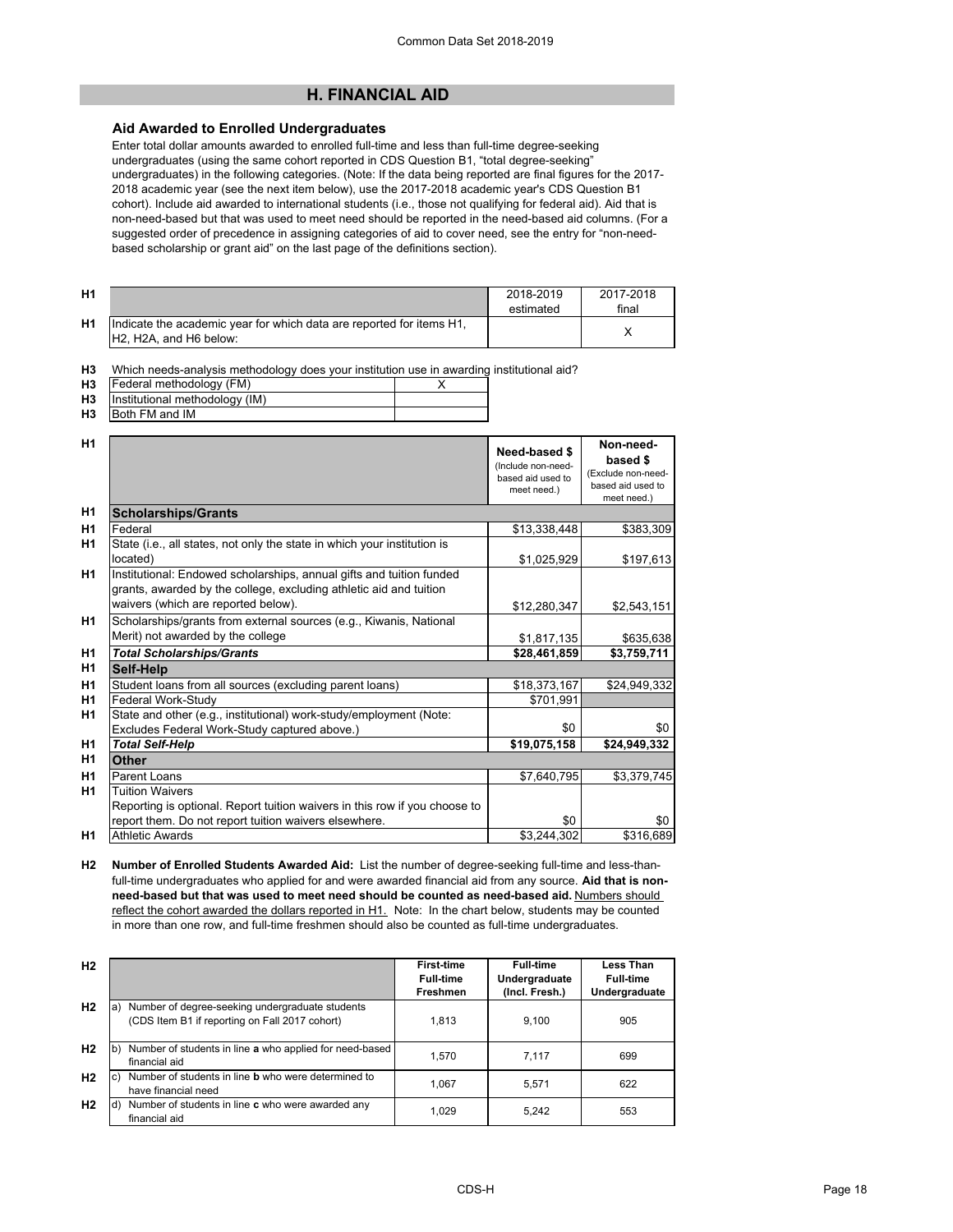## **H. FINANCIAL AID**

## **Aid Awarded to Enrolled Undergraduates**

Enter total dollar amounts awarded to enrolled full-time and less than full-time degree-seeking undergraduates (using the same cohort reported in CDS Question B1, "total degree-seeking" undergraduates) in the following categories. (Note: If the data being reported are final figures for the 2017- 2018 academic year (see the next item below), use the 2017-2018 academic year's CDS Question B1 cohort). Include aid awarded to international students (i.e., those not qualifying for federal aid). Aid that is non-need-based but that was used to meet need should be reported in the need-based aid columns. (For a suggested order of precedence in assigning categories of aid to cover need, see the entry for "non-needbased scholarship or grant aid" on the last page of the definitions section).

| H1             |                                                                                                                                      | 2018-2019<br>estimated | 2017-2018<br>final |
|----------------|--------------------------------------------------------------------------------------------------------------------------------------|------------------------|--------------------|
| H <sub>1</sub> | lndicate the academic vear for which data are reported for items H1.<br>H <sub>2</sub> . H <sub>2</sub> A, and H <sub>6</sub> below: |                        |                    |

**H3** Which needs-analysis methodology does your institution use in awarding institutional aid?

- **H3** X Federal methodology (FM)
- **H3 H3** Institutional methodology (IM) Both FM and IM

| H1             |                                                                                                                                            | Need-based \$<br>(Include non-need-<br>based aid used to<br>meet need.) | Non-need-<br>based \$<br>(Exclude non-need-<br>based aid used to<br>meet need.) |
|----------------|--------------------------------------------------------------------------------------------------------------------------------------------|-------------------------------------------------------------------------|---------------------------------------------------------------------------------|
| H1             | <b>Scholarships/Grants</b>                                                                                                                 |                                                                         |                                                                                 |
| H1             | Federal                                                                                                                                    | \$13,338,448                                                            | \$383,309                                                                       |
| H1             | State (i.e., all states, not only the state in which your institution is                                                                   |                                                                         |                                                                                 |
|                | located)                                                                                                                                   | \$1,025,929                                                             | \$197,613                                                                       |
| H <sub>1</sub> | Institutional: Endowed scholarships, annual gifts and tuition funded<br>grants, awarded by the college, excluding athletic aid and tuition |                                                                         |                                                                                 |
|                | waivers (which are reported below).                                                                                                        | \$12,280,347                                                            | \$2,543,151                                                                     |
| <b>H1</b>      | Scholarships/grants from external sources (e.g., Kiwanis, National                                                                         |                                                                         |                                                                                 |
|                | Merit) not awarded by the college                                                                                                          | \$1,817,135                                                             | \$635,638                                                                       |
| H <sub>1</sub> | <b>Total Scholarships/Grants</b>                                                                                                           | \$28,461,859                                                            | \$3,759,711                                                                     |
| H <sub>1</sub> | Self-Help                                                                                                                                  |                                                                         |                                                                                 |
| H1             | Student loans from all sources (excluding parent loans)                                                                                    | \$18,373,167                                                            | \$24,949,332                                                                    |
| H <sub>1</sub> | Federal Work-Study                                                                                                                         | \$701.991                                                               |                                                                                 |
| H1             | State and other (e.g., institutional) work-study/employment (Note:                                                                         |                                                                         |                                                                                 |
|                | Excludes Federal Work-Study captured above.)                                                                                               | \$0                                                                     | \$0                                                                             |
| H <sub>1</sub> | <b>Total Self-Help</b>                                                                                                                     | \$19,075,158                                                            | \$24,949,332                                                                    |
| H1             | Other                                                                                                                                      |                                                                         |                                                                                 |
| H <sub>1</sub> | Parent Loans                                                                                                                               | \$7,640,795                                                             | \$3,379,745                                                                     |
| H <sub>1</sub> | <b>Tuition Waivers</b>                                                                                                                     |                                                                         |                                                                                 |
|                | Reporting is optional. Report tuition waivers in this row if you choose to                                                                 |                                                                         |                                                                                 |
|                | report them. Do not report tuition waivers elsewhere.                                                                                      | \$0                                                                     | \$0                                                                             |
| H1             | <b>Athletic Awards</b>                                                                                                                     | \$3,244,302                                                             | \$316,689                                                                       |

**H2 Number of Enrolled Students Awarded Aid:** List the number of degree-seeking full-time and less-thanfull-time undergraduates who applied for and were awarded financial aid from any source. **Aid that is nonneed-based but that was used to meet need should be counted as need-based aid.** Numbers should reflect the cohort awarded the dollars reported in H1. Note: In the chart below, students may be counted in more than one row, and full-time freshmen should also be counted as full-time undergraduates.

| H <sub>2</sub> |                                                                                                         | First-time<br><b>Full-time</b><br>Freshmen | <b>Full-time</b><br>Undergraduate<br>(Incl. Fresh.) | <b>Less Than</b><br><b>Full-time</b><br>Undergraduate |
|----------------|---------------------------------------------------------------------------------------------------------|--------------------------------------------|-----------------------------------------------------|-------------------------------------------------------|
| H <sub>2</sub> | Number of degree-seeking undergraduate students<br>a)<br>(CDS Item B1 if reporting on Fall 2017 cohort) | 1,813                                      | 9,100                                               | 905                                                   |
| H <sub>2</sub> | Number of students in line a who applied for need-based<br>financial aid                                | 1.570                                      | 7.117                                               | 699                                                   |
| H <sub>2</sub> | Number of students in line <b>b</b> who were determined to<br>have financial need                       | 1.067                                      | 5.571                                               | 622                                                   |
| H <sub>2</sub> | Number of students in line c who were awarded any<br>ld)<br>financial aid                               | 1,029                                      | 5.242                                               | 553                                                   |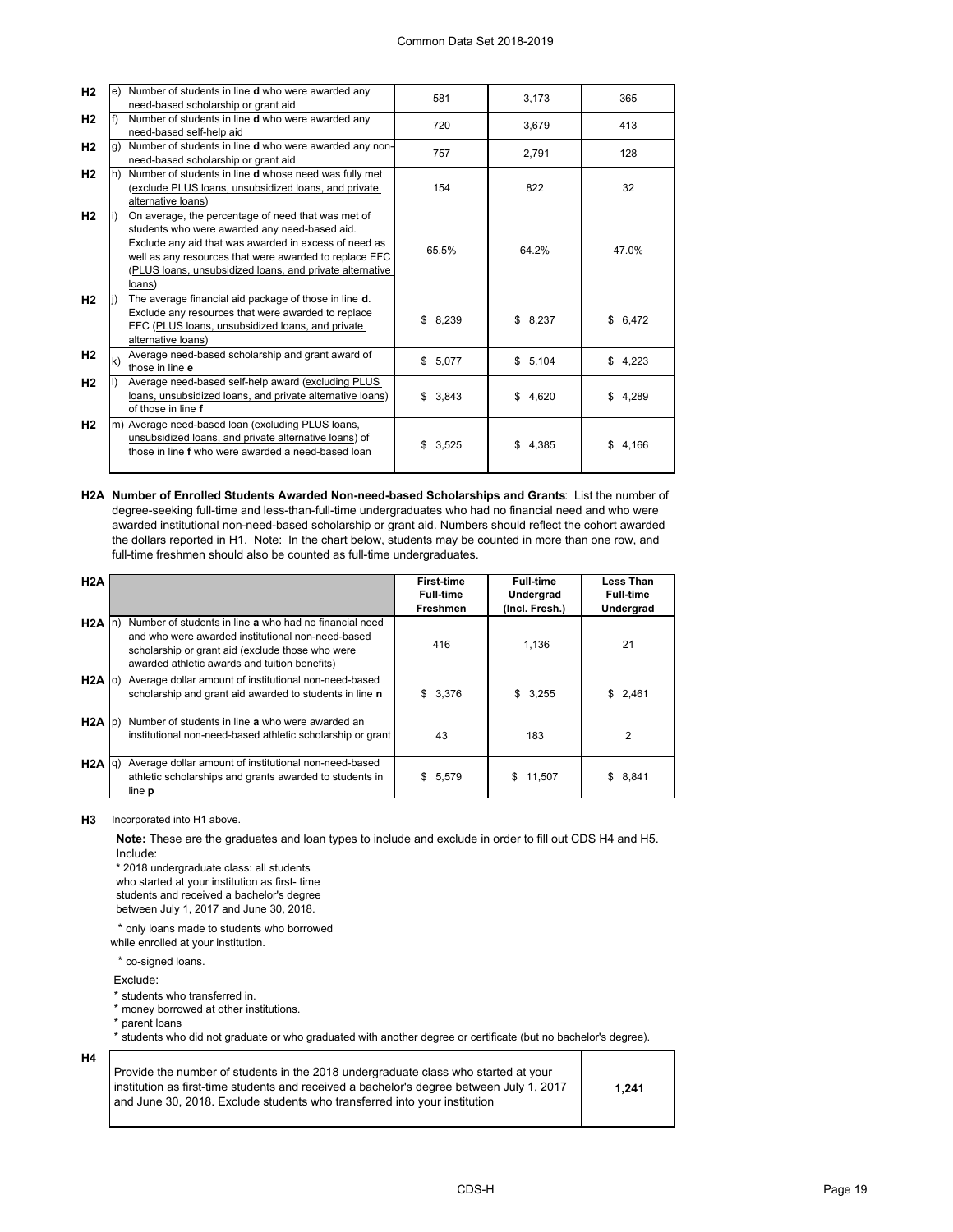| H <sub>2</sub> |              | e) Number of students in line d who were awarded any      | 581         | 3,173   | 365         |
|----------------|--------------|-----------------------------------------------------------|-------------|---------|-------------|
|                |              | need-based scholarship or grant aid                       |             |         |             |
| H <sub>2</sub> |              | Number of students in line <b>d</b> who were awarded any  | 720         | 3,679   | 413         |
|                |              | need-based self-help aid                                  |             |         |             |
| H <sub>2</sub> |              | Number of students in line d who were awarded any non-    | 757         | 2,791   | 128         |
|                |              | need-based scholarship or grant aid                       |             |         |             |
| H <sub>2</sub> |              | h) Number of students in line d whose need was fully met  |             |         |             |
|                |              | (exclude PLUS loans, unsubsidized loans, and private      | 154         | 822     | 32          |
|                |              | alternative loans)                                        |             |         |             |
| H <sub>2</sub> |              | On average, the percentage of need that was met of        |             |         |             |
|                |              | students who were awarded any need-based aid.             |             |         |             |
|                |              | Exclude any aid that was awarded in excess of need as     |             |         |             |
|                |              | well as any resources that were awarded to replace EFC    | 65.5%       | 64.2%   | 47.0%       |
|                |              | (PLUS loans, unsubsidized loans, and private alternative  |             |         |             |
|                |              | loans)                                                    |             |         |             |
| H <sub>2</sub> |              | The average financial aid package of those in line d.     |             |         |             |
|                |              | Exclude any resources that were awarded to replace        |             |         |             |
|                |              | EFC (PLUS loans, unsubsidized loans, and private          | \$8,239     | \$8,237 | \$6,472     |
|                |              | alternative loans)                                        |             |         |             |
| H <sub>2</sub> |              | Average need-based scholarship and grant award of         |             |         |             |
|                | $\mathsf{k}$ | those in line e                                           | \$5,077     | \$5,104 | \$4,223     |
| H <sub>2</sub> |              | Average need-based self-help award (excluding PLUS        |             |         |             |
|                |              | loans, unsubsidized loans, and private alternative loans) | \$3.843     | \$4,620 | \$<br>4.289 |
|                |              | of those in line f                                        |             |         |             |
| H <sub>2</sub> |              | m) Average need-based loan (excluding PLUS loans,         |             |         |             |
|                |              | unsubsidized loans, and private alternative loans) of     |             |         |             |
|                |              | those in line f who were awarded a need-based loan        | \$<br>3,525 | \$4,385 | \$4,166     |
|                |              |                                                           |             |         |             |
|                |              |                                                           |             |         |             |

**H2A Number of Enrolled Students Awarded Non-need-based Scholarships and Grants**: List the number of degree-seeking full-time and less-than-full-time undergraduates who had no financial need and who were awarded institutional non-need-based scholarship or grant aid. Numbers should reflect the cohort awarded the dollars reported in H1. Note: In the chart below, students may be counted in more than one row, and full-time freshmen should also be counted as full-time undergraduates.

| H2A             |                                                                                                                                                                                                                  | <b>First-time</b><br><b>Full-time</b><br><b>Freshmen</b> | <b>Full-time</b><br>Undergrad<br>(Incl. Fresh.) | Less Than<br><b>Full-time</b><br>Undergrad |
|-----------------|------------------------------------------------------------------------------------------------------------------------------------------------------------------------------------------------------------------|----------------------------------------------------------|-------------------------------------------------|--------------------------------------------|
| $H2A$ In        | Number of students in line a who had no financial need<br>and who were awarded institutional non-need-based<br>scholarship or grant aid (exclude those who were<br>awarded athletic awards and tuition benefits) | 416                                                      | 1.136                                           | 21                                         |
|                 | H2A o) Average dollar amount of institutional non-need-based<br>scholarship and grant aid awarded to students in line n                                                                                          | \$3,376                                                  | \$3,255                                         | \$2,461                                    |
| $H2A$ $p)$      | Number of students in line a who were awarded an<br>institutional non-need-based athletic scholarship or grant                                                                                                   | 43                                                       | 183                                             | 2                                          |
| $H2A  q\rangle$ | Average dollar amount of institutional non-need-based<br>athletic scholarships and grants awarded to students in<br>line <b>p</b>                                                                                | \$5,579                                                  | 11.507<br>S                                     | 8,841<br>\$                                |

**H3** Incorporated into H1 above.

**Note:** These are the graduates and loan types to include and exclude in order to fill out CDS H4 and H5. Include:

\* 2018 undergraduate class: all students who started at your institution as first- time students and received a bachelor's degree between July 1, 2017 and June 30, 2018.

\* only loans made to students who borrowed while enrolled at your institution.

\* co-signed loans.

Exclude:

**H4**

\* students who transferred in.

\* money borrowed at other institutions. \* parent loans

\* students who did not graduate or who graduated with another degree or certificate (but no bachelor's degree).

| Provide the number of students in the 2018 undergraduate class who started at your<br>institution as first-time students and received a bachelor's degree between July 1, 2017<br>l and June 30. 2018. Exclude students who transferred into vour institution_ | 1.241 |
|----------------------------------------------------------------------------------------------------------------------------------------------------------------------------------------------------------------------------------------------------------------|-------|
|----------------------------------------------------------------------------------------------------------------------------------------------------------------------------------------------------------------------------------------------------------------|-------|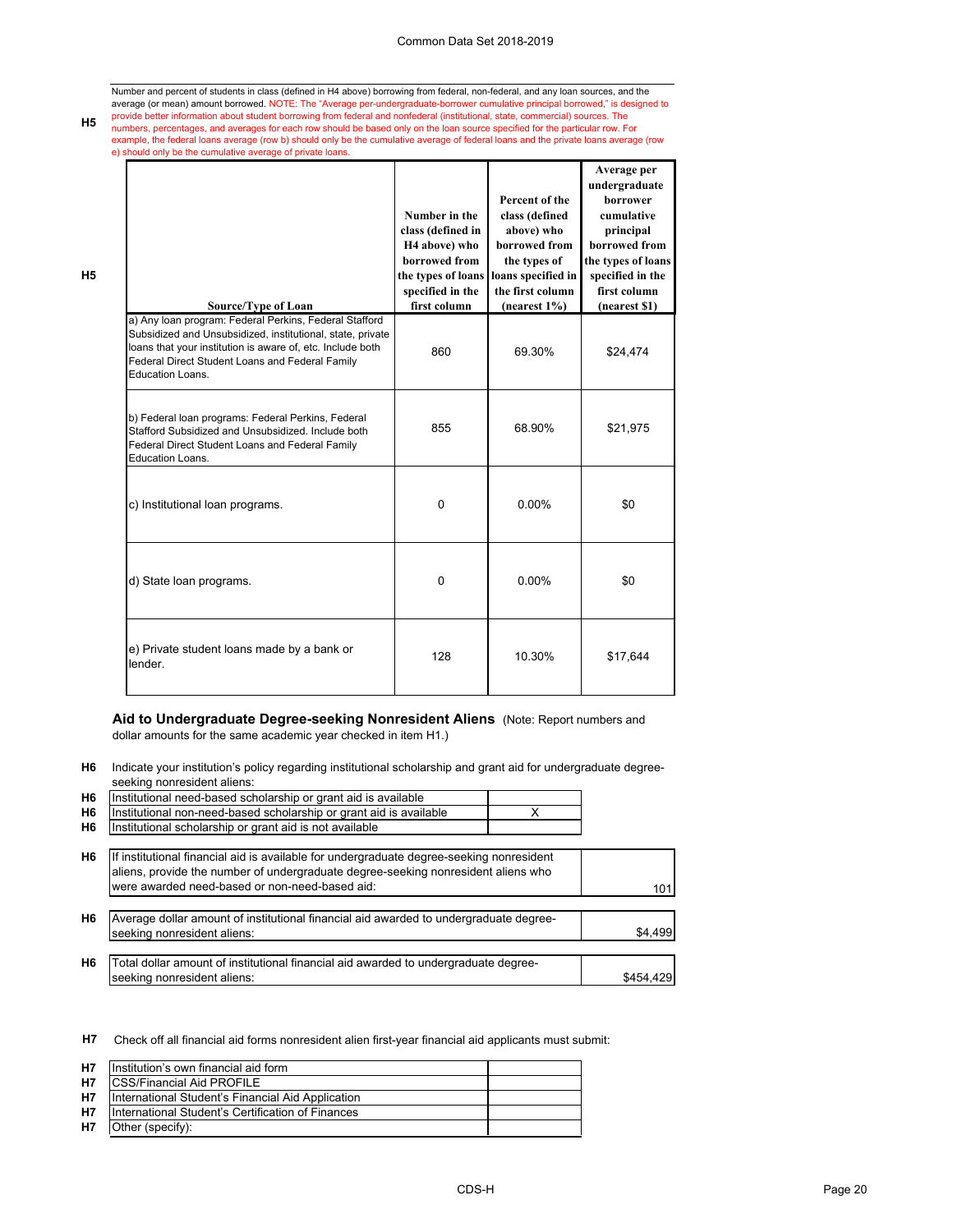#### Common Data Set 2018-2019

Number and percent of students in class (defined in H4 above) borrowing from federal, non-federal, and any loan sources, and the average (or mean) amount borrowed. NOTE: The "Average per-undergraduate-borrower cumulative principal borrowed," is designed to<br>provide better information about student borrowing from federal and nonfederal (institutional, numbers, percentages, and averages for each row should be based only on the loan source specified for the particular row. For<br>example, the federal loans average (row b) should only be the cumulative average of federal loan e) should only be the cumulative average of private loans.

| Source/Type of Loan                                                                                                                                                                                                                                       | Number in the<br>class (defined in<br>H <sub>4</sub> above) who<br>borrowed from<br>the types of loans<br>specified in the<br>first column | Percent of the<br>class (defined<br>above) who<br>borrowed from<br>the types of<br>loans specified in<br>the first column<br>(nearest 1%) | Average per<br>undergraduate<br><b>borrower</b><br>cumulative<br>principal<br>borrowed from<br>the types of loans<br>specified in the<br>first column<br>(nearest \$1) |
|-----------------------------------------------------------------------------------------------------------------------------------------------------------------------------------------------------------------------------------------------------------|--------------------------------------------------------------------------------------------------------------------------------------------|-------------------------------------------------------------------------------------------------------------------------------------------|------------------------------------------------------------------------------------------------------------------------------------------------------------------------|
| a) Any Ioan program: Federal Perkins, Federal Stafford<br>Subsidized and Unsubsidized, institutional, state, private<br>loans that your institution is aware of, etc. Include both<br>Federal Direct Student Loans and Federal Family<br>Education Loans. | 860                                                                                                                                        | 69.30%                                                                                                                                    | \$24,474                                                                                                                                                               |
| b) Federal loan programs: Federal Perkins, Federal<br>Stafford Subsidized and Unsubsidized. Include both<br>Federal Direct Student Loans and Federal Family<br>Education Loans.                                                                           | 855                                                                                                                                        | 68.90%                                                                                                                                    | \$21,975                                                                                                                                                               |
| c) Institutional loan programs.                                                                                                                                                                                                                           | $\Omega$                                                                                                                                   | $0.00\%$                                                                                                                                  | \$0                                                                                                                                                                    |
| d) State loan programs.                                                                                                                                                                                                                                   | $\Omega$                                                                                                                                   | $0.00\%$                                                                                                                                  | \$0                                                                                                                                                                    |
| e) Private student loans made by a bank or<br>lender                                                                                                                                                                                                      | 128                                                                                                                                        | 10.30%                                                                                                                                    | \$17,644                                                                                                                                                               |

**Aid to Undergraduate Degree-seeking Nonresident Aliens** (Note: Report numbers and dollar amounts for the same academic year checked in item H1.)

**H6** Indicate your institution's policy regarding institutional scholarship and grant aid for undergraduate degreeseeking nonresident aliens:

| H <sub>6</sub> | Institutional need-based scholarship or grant aid is available                                                                                                                                                                  |   |           |
|----------------|---------------------------------------------------------------------------------------------------------------------------------------------------------------------------------------------------------------------------------|---|-----------|
| H6             | Institutional non-need-based scholarship or grant aid is available                                                                                                                                                              | x |           |
| H <sub>6</sub> | Institutional scholarship or grant aid is not available                                                                                                                                                                         |   |           |
| H <sub>6</sub> | If institutional financial aid is available for undergraduate degree-seeking nonresident<br>aliens, provide the number of undergraduate degree-seeking nonresident aliens who<br>were awarded need-based or non-need-based aid: |   | 101       |
| H <sub>6</sub> | Average dollar amount of institutional financial aid awarded to undergraduate degree-<br>seeking nonresident aliens:                                                                                                            |   | \$4,499   |
| H <sub>6</sub> | Total dollar amount of institutional financial aid awarded to undergraduate degree-<br>seeking nonresident aliens:                                                                                                              |   | \$454.429 |

**H7** Check off all financial aid forms nonresident alien first-year financial aid applicants must submit:

| <b>H7</b> | Institution's own financial aid form              |  |
|-----------|---------------------------------------------------|--|
| <b>H7</b> | <b>ICSS/Financial Aid PROFILE</b>                 |  |
| H7        | International Student's Financial Aid Application |  |
| H7        | International Student's Certification of Finances |  |
| <b>H7</b> | Other (specify):                                  |  |

**H5**

**H5**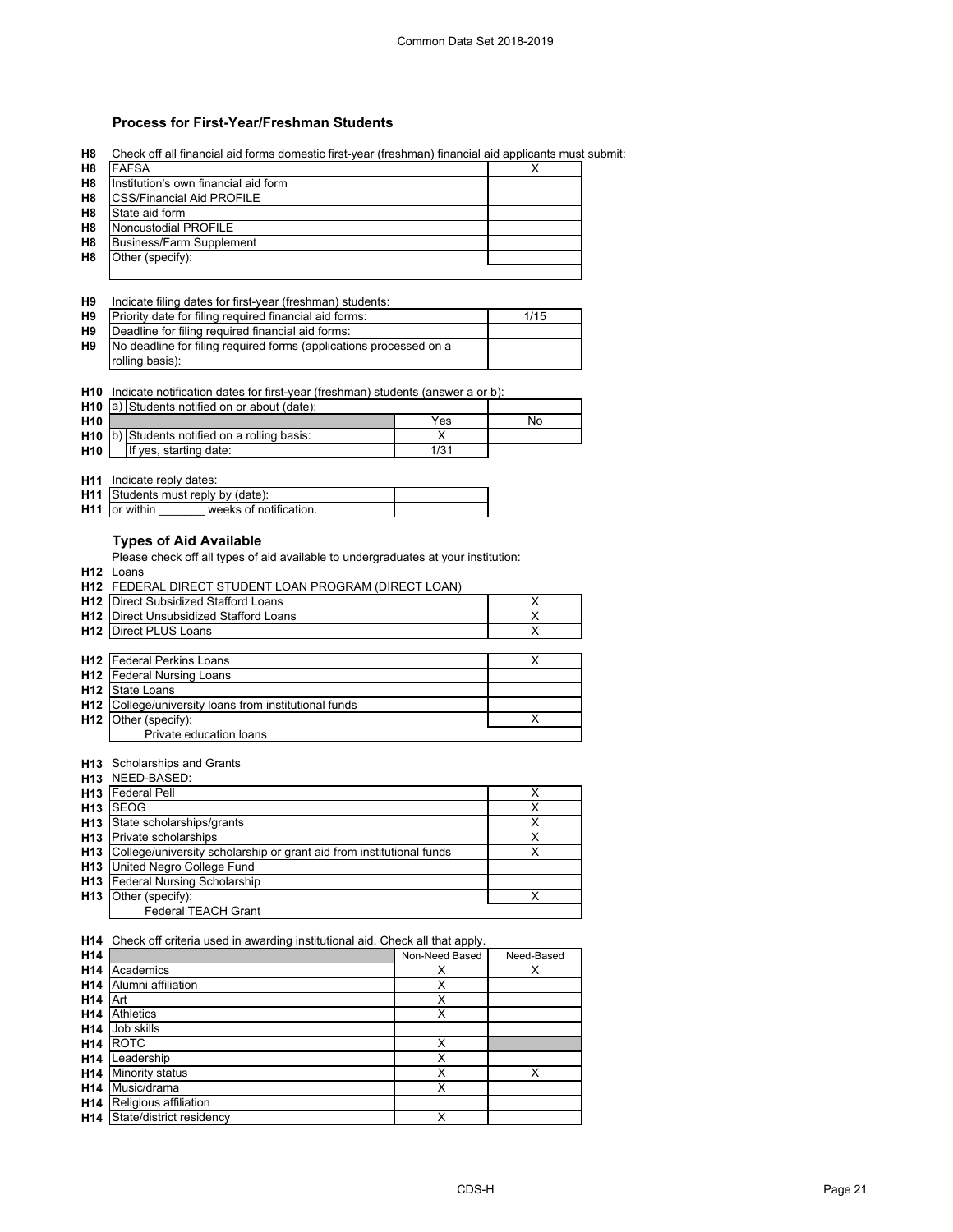## **Process for First-Year/Freshman Students**

**H8**

|                                                                                                      | <b>FAFSA</b>                                                                       |                         | х          |
|------------------------------------------------------------------------------------------------------|------------------------------------------------------------------------------------|-------------------------|------------|
| H8                                                                                                   | Institution's own financial aid form                                               |                         |            |
| H8                                                                                                   | <b>CSS/Financial Aid PROFILE</b>                                                   |                         |            |
| H8                                                                                                   | State aid form                                                                     |                         |            |
|                                                                                                      |                                                                                    |                         |            |
| H8                                                                                                   | Noncustodial PROFILE                                                               |                         |            |
| H8                                                                                                   | <b>Business/Farm Supplement</b>                                                    |                         |            |
| H8                                                                                                   | Other (specify):                                                                   |                         |            |
|                                                                                                      |                                                                                    |                         |            |
|                                                                                                      |                                                                                    |                         |            |
| H9                                                                                                   | Indicate filing dates for first-year (freshman) students:                          |                         |            |
| Η9                                                                                                   | Priority date for filing required financial aid forms:                             |                         | 1/15       |
|                                                                                                      | Deadline for filing required financial aid forms:                                  |                         |            |
| Н9                                                                                                   |                                                                                    |                         |            |
| H <sub>9</sub>                                                                                       | No deadline for filing required forms (applications processed on a                 |                         |            |
|                                                                                                      | rolling basis):                                                                    |                         |            |
|                                                                                                      |                                                                                    |                         |            |
| H10                                                                                                  | Indicate notification dates for first-year (freshman) students (answer a or b):    |                         |            |
| H <sub>10</sub>                                                                                      | a) Students notified on or about (date):                                           |                         |            |
|                                                                                                      |                                                                                    |                         |            |
| H10                                                                                                  |                                                                                    | Yes                     | No         |
| H10                                                                                                  | b) Students notified on a rolling basis:                                           | X                       |            |
| H <sub>10</sub>                                                                                      | If yes, starting date:                                                             | 1/31                    |            |
|                                                                                                      |                                                                                    |                         |            |
|                                                                                                      | H11 Indicate reply dates:                                                          |                         |            |
| H11                                                                                                  | Students must reply by (date):                                                     |                         |            |
|                                                                                                      |                                                                                    |                         |            |
|                                                                                                      | weeks of notification.<br>H <sub>11</sub> or within                                |                         |            |
|                                                                                                      |                                                                                    |                         |            |
|                                                                                                      | <b>Types of Aid Available</b>                                                      |                         |            |
|                                                                                                      | Please check off all types of aid available to undergraduates at your institution: |                         |            |
|                                                                                                      | H <sub>12</sub> Loans                                                              |                         |            |
|                                                                                                      |                                                                                    |                         |            |
|                                                                                                      | H12 FEDERAL DIRECT STUDENT LOAN PROGRAM (DIRECT LOAN)                              |                         |            |
|                                                                                                      | <b>H12</b> Direct Subsidized Stafford Loans                                        |                         | х          |
|                                                                                                      | H12 Direct Unsubsidized Stafford Loans                                             |                         | X          |
|                                                                                                      |                                                                                    |                         |            |
|                                                                                                      |                                                                                    |                         |            |
|                                                                                                      | H12 Direct PLUS Loans                                                              |                         | X          |
|                                                                                                      |                                                                                    |                         |            |
|                                                                                                      | <b>H12</b>   Federal Perkins Loans                                                 |                         | х          |
|                                                                                                      | <b>H12</b>   Federal Nursing Loans                                                 |                         |            |
|                                                                                                      | H12 State Loans                                                                    |                         |            |
|                                                                                                      | H12 College/university loans from institutional funds                              |                         |            |
|                                                                                                      |                                                                                    |                         | х          |
|                                                                                                      | Other (specify):                                                                   |                         |            |
|                                                                                                      | Private education loans                                                            |                         |            |
|                                                                                                      |                                                                                    |                         |            |
|                                                                                                      | H13 Scholarships and Grants                                                        |                         |            |
|                                                                                                      | H13 NEED-BASED:                                                                    |                         |            |
|                                                                                                      | <b>H13</b> Federal Pell                                                            |                         | х          |
|                                                                                                      | H <sub>13</sub> SEOG                                                               |                         | х          |
|                                                                                                      |                                                                                    |                         |            |
|                                                                                                      | H13 State scholarships/grants                                                      |                         | X          |
|                                                                                                      | H13 Private scholarships                                                           |                         | х          |
|                                                                                                      | H13 College/university scholarship or grant aid from institutional funds           |                         | X          |
|                                                                                                      | <b>H13</b>   United Negro College Fund                                             |                         |            |
|                                                                                                      | <b>H13</b> Federal Nursing Scholarship                                             |                         |            |
|                                                                                                      |                                                                                    |                         | X          |
|                                                                                                      | Other (specify):                                                                   |                         |            |
|                                                                                                      | <b>Federal TEACH Grant</b>                                                         |                         |            |
|                                                                                                      |                                                                                    |                         |            |
|                                                                                                      | H14 Check off criteria used in awarding institutional aid. Check all that apply.   |                         |            |
|                                                                                                      |                                                                                    | Non-Need Based          | Need-Based |
|                                                                                                      | Academics                                                                          | Χ                       | х          |
|                                                                                                      |                                                                                    |                         |            |
|                                                                                                      | Alumni affiliation                                                                 | $\overline{\mathsf{x}}$ |            |
|                                                                                                      | H <sub>14</sub> Art                                                                | Χ                       |            |
|                                                                                                      | <b>Athletics</b>                                                                   | X                       |            |
|                                                                                                      | H <sub>14</sub> Job skills                                                         |                         |            |
|                                                                                                      | <b>ROTC</b>                                                                        | Χ                       |            |
|                                                                                                      |                                                                                    |                         |            |
|                                                                                                      | H <sub>14</sub> Leadership                                                         | X                       |            |
|                                                                                                      | <b>H14</b> Minority status                                                         | X                       | х          |
|                                                                                                      | H14 Music/drama                                                                    | X                       |            |
| H <sub>12</sub><br>H <sub>13</sub><br>H <sub>14</sub><br>H <sub>14</sub><br>H14<br>H14<br>H14<br>H14 | Religious affiliation<br>State/district residency                                  | Х                       |            |

Check off all financial aid forms domestic first-year (freshman) financial aid applicants must submit: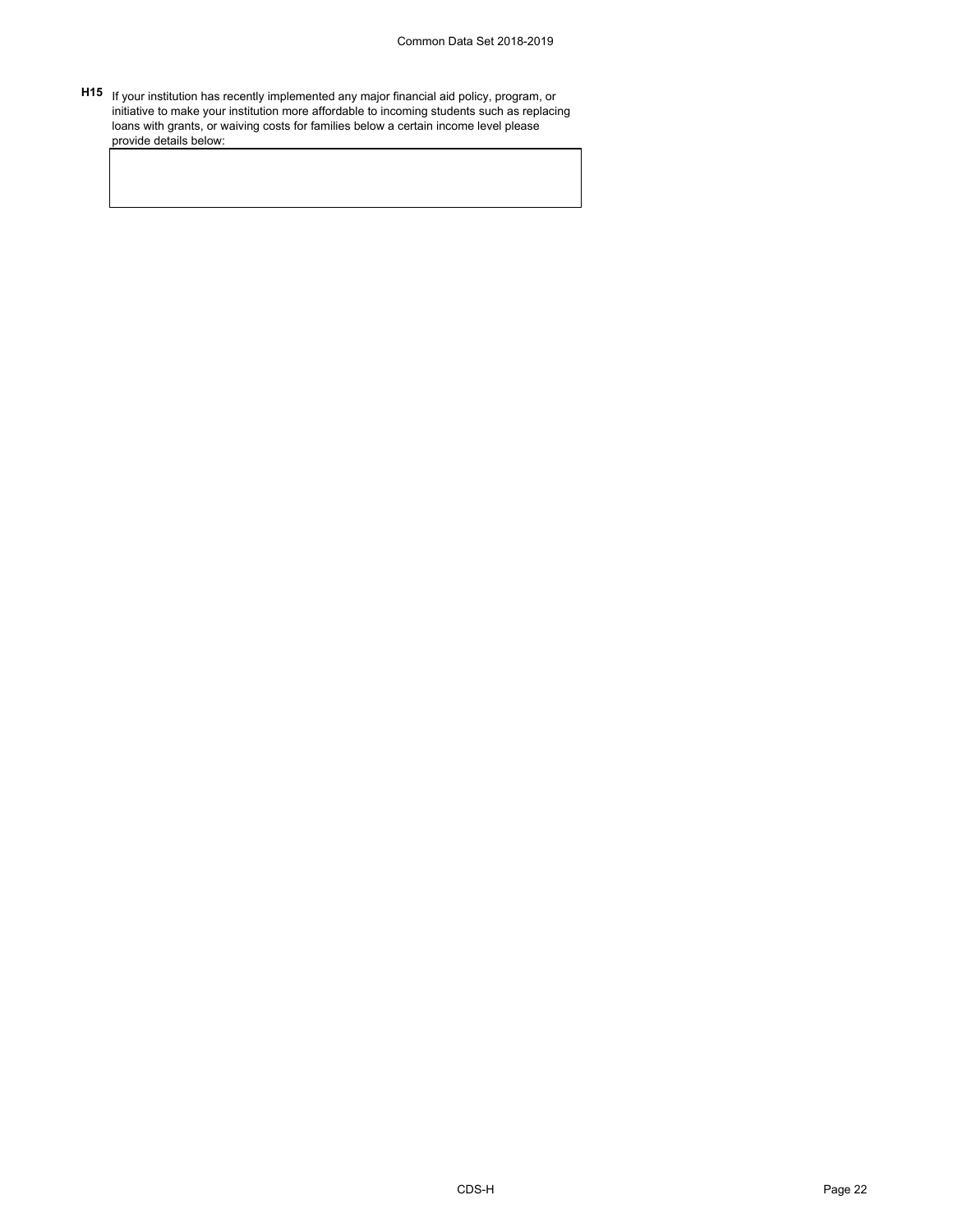**H15** If your institution has recently implemented any major financial aid policy, program, or initiative to make your institution more affordable to incoming students such as replacing loans with grants, or waiving costs for families below a certain income level please provide details below: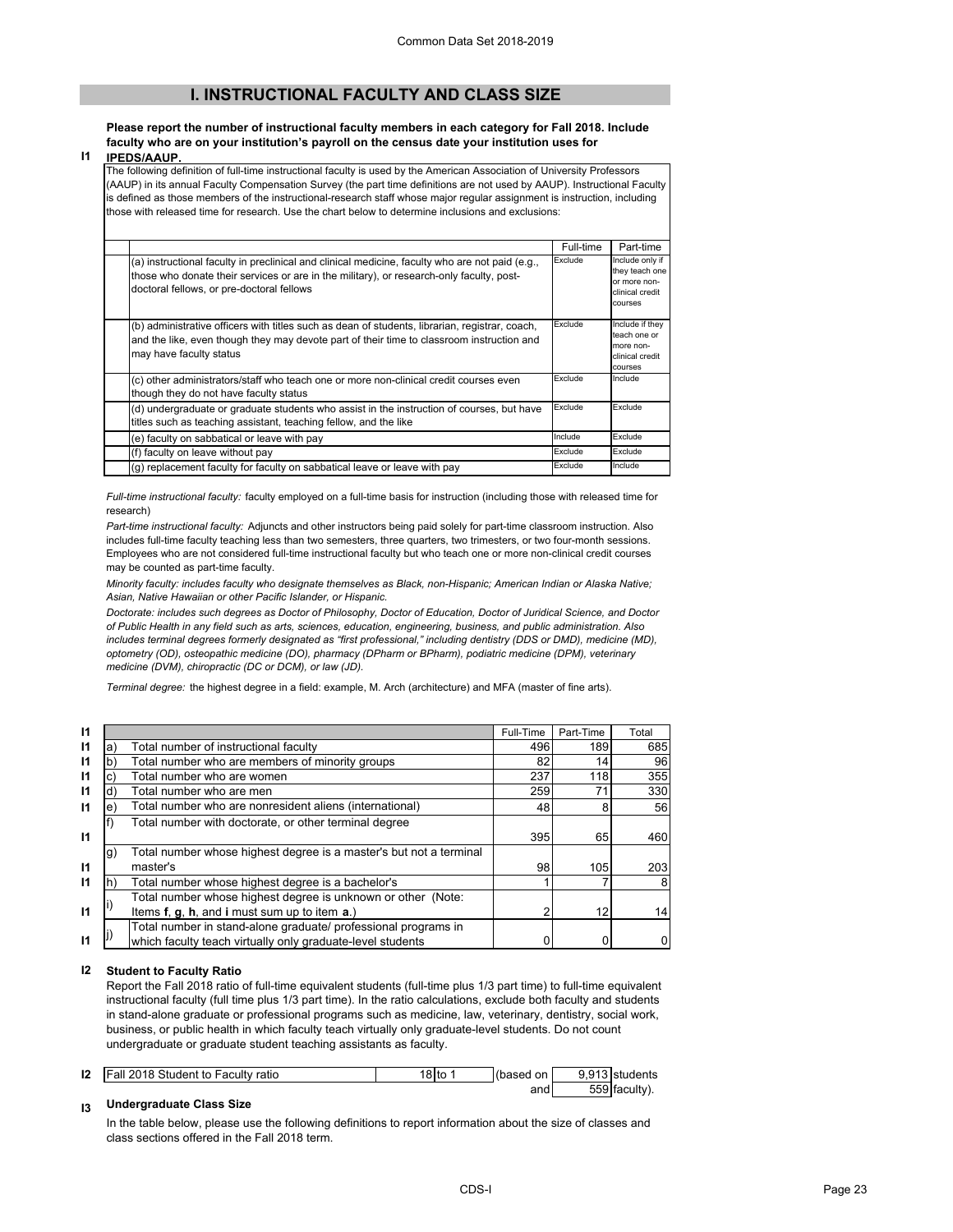## **I. INSTRUCTIONAL FACULTY AND CLASS SIZE**

#### **Please report the number of instructional faculty members in each category for Fall 2018. Include faculty who are on your institution's payroll on the census date your institution uses for**

**I1 IPEDS/AAUP.**

The following definition of full-time instructional faculty is used by the American Association of University Professors (AAUP) in its annual Faculty Compensation Survey (the part time definitions are not used by AAUP). Instructional Faculty is defined as those members of the instructional-research staff whose major regular assignment is instruction, including those with released time for research. Use the chart below to determine inclusions and exclusions:

|                                                                                                                                                                                                                                          | Full-time | Part-time                                                                       |
|------------------------------------------------------------------------------------------------------------------------------------------------------------------------------------------------------------------------------------------|-----------|---------------------------------------------------------------------------------|
| (a) instructional faculty in preclinical and clinical medicine, faculty who are not paid (e.g.,<br>those who donate their services or are in the military), or research-only faculty, post-<br>doctoral fellows, or pre-doctoral fellows | Exclude   | Include only if<br>they teach one<br>or more non-<br>clinical credit<br>courses |
| (b) administrative officers with titles such as dean of students, librarian, registrar, coach,<br>and the like, even though they may devote part of their time to classroom instruction and<br>may have faculty status                   | Exclude   | Include if they<br>teach one or<br>more non-<br>clinical credit<br>courses      |
| (c) other administrators/staff who teach one or more non-clinical credit courses even<br>though they do not have faculty status                                                                                                          | Exclude   | Include                                                                         |
| (d) undergraduate or graduate students who assist in the instruction of courses, but have<br>titles such as teaching assistant, teaching fellow, and the like                                                                            | Exclude   | Exclude                                                                         |
| (e) faculty on sabbatical or leave with pay                                                                                                                                                                                              | Include   | Exclude                                                                         |
| (f) faculty on leave without pay                                                                                                                                                                                                         | Exclude   | Exclude                                                                         |
| (g) replacement faculty for faculty on sabbatical leave or leave with pay                                                                                                                                                                | Exclude   | Include                                                                         |

*Full-time instructional faculty:* faculty employed on a full-time basis for instruction (including those with released time for research)

*Part-time instructional faculty:* Adjuncts and other instructors being paid solely for part-time classroom instruction. Also includes full-time faculty teaching less than two semesters, three quarters, two trimesters, or two four-month sessions. Employees who are not considered full-time instructional faculty but who teach one or more non-clinical credit courses may be counted as part-time faculty.

*Minority faculty: includes faculty who designate themselves as Black, non-Hispanic; American Indian or Alaska Native; Asian, Native Hawaiian or other Pacific Islander, or Hispanic.* 

*Doctorate: includes such degrees as Doctor of Philosophy, Doctor of Education, Doctor of Juridical Science, and Doctor of Public Health in any field such as arts, sciences, education, engineering, business, and public administration. Also*  includes terminal degrees formerly designated as "first professional," including dentistry (DDS or DMD), medicine (MD), *optometry (OD), osteopathic medicine (DO), pharmacy (DPharm or BPharm), podiatric medicine (DPM), veterinary medicine (DVM), chiropractic (DC or DCM), or law (JD).*

*Terminal degree:* the highest degree in a field: example, M. Arch (architecture) and MFA (master of fine arts).

| 11           |    |                                                                    | Full-Time | Part-Time | Total |
|--------------|----|--------------------------------------------------------------------|-----------|-----------|-------|
| 11           | a  | Total number of instructional faculty                              | 496       | 189       | 685   |
| 11           | b  | Total number who are members of minority groups                    | 82        | 14        | 96    |
| 11           |    | Total number who are women                                         | 237       | 118       | 355   |
| 11           |    | Total number who are men                                           | 259       | 71        | 330   |
| $\mathsf{I}$ | е  | Total number who are nonresident aliens (international)            | 48        | 8         | 56    |
|              |    | Total number with doctorate, or other terminal degree              |           |           |       |
| $\mathbf{I}$ |    |                                                                    | 395       | 65        | 460   |
|              | g) | Total number whose highest degree is a master's but not a terminal |           |           |       |
| $\mathsf{I}$ |    | master's                                                           | 98        | 105       | 203   |
| 11           |    | Total number whose highest degree is a bachelor's                  |           |           |       |
|              |    | Total number whose highest degree is unknown or other (Note:       |           |           |       |
| 11           |    | Items f, g, h, and i must sum up to item a.)                       |           | 12        | 14    |
|              |    | Total number in stand-alone graduate/ professional programs in     |           |           |       |
| 11           |    | which faculty teach virtually only graduate-level students         |           |           |       |

### **I2 Student to Faculty Ratio**

Report the Fall 2018 ratio of full-time equivalent students (full-time plus 1/3 part time) to full-time equivalent instructional faculty (full time plus 1/3 part time). In the ratio calculations, exclude both faculty and students in stand-alone graduate or professional programs such as medicine, law, veterinary, dentistry, social work, business, or public health in which faculty teach virtually only graduate-level students. Do not count undergraduate or graduate student teaching assistants as faculty.

| 12 | <b>Fall 2018 Student to Faculty ratio</b> | 8 tc | on<br>(based | $9.913$ stu | Hstudents   |
|----|-------------------------------------------|------|--------------|-------------|-------------|
|    |                                           |      | and          |             | 559 faculty |

#### **I3 Undergraduate Class Size**

In the table below, please use the following definitions to report information about the size of classes and class sections offered in the Fall 2018 term.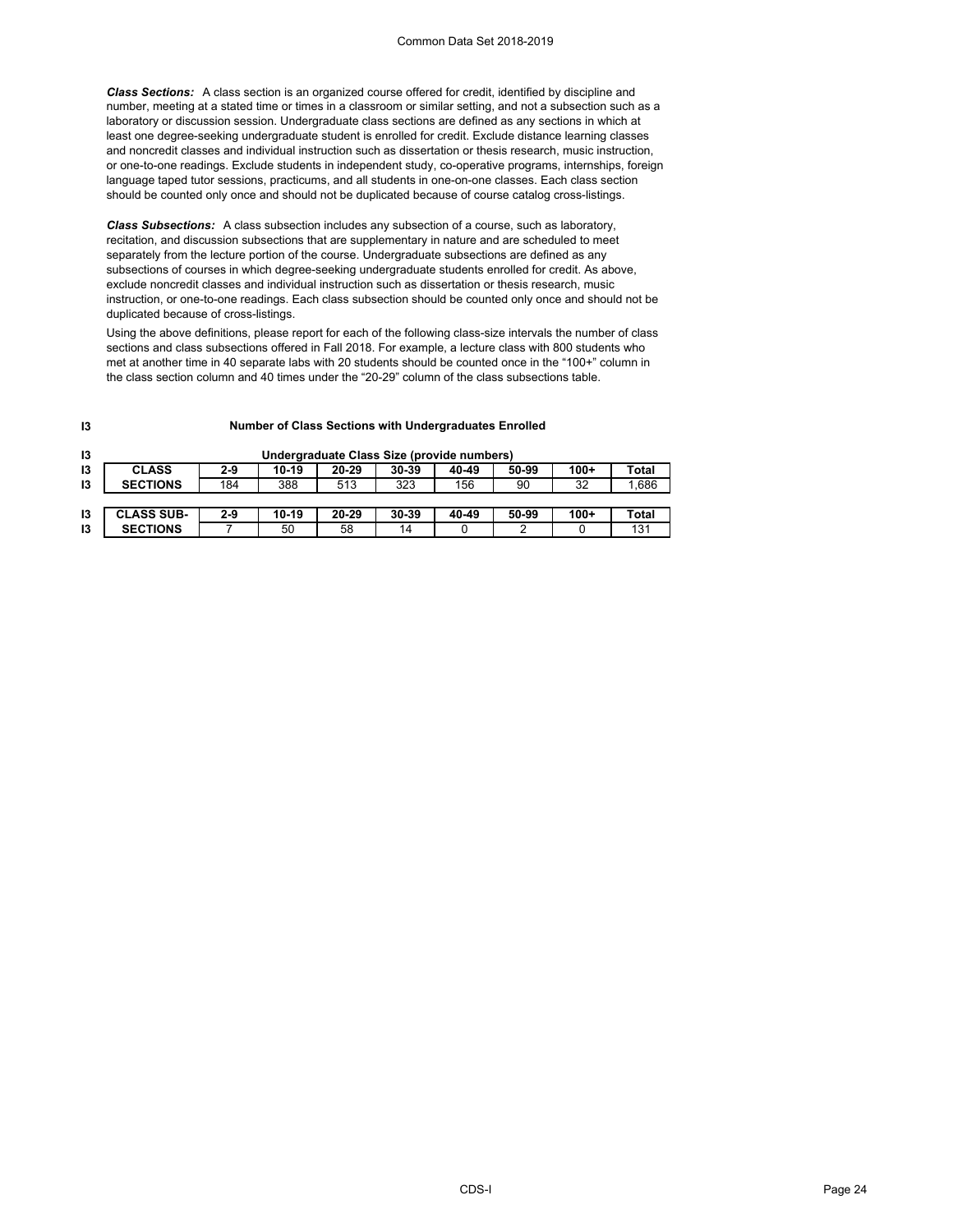*Class Sections:* A class section is an organized course offered for credit, identified by discipline and number, meeting at a stated time or times in a classroom or similar setting, and not a subsection such as a laboratory or discussion session. Undergraduate class sections are defined as any sections in which at least one degree-seeking undergraduate student is enrolled for credit. Exclude distance learning classes and noncredit classes and individual instruction such as dissertation or thesis research, music instruction, or one-to-one readings. Exclude students in independent study, co-operative programs, internships, foreign language taped tutor sessions, practicums, and all students in one-on-one classes. Each class section should be counted only once and should not be duplicated because of course catalog cross-listings.

*Class Subsections:* A class subsection includes any subsection of a course, such as laboratory, recitation, and discussion subsections that are supplementary in nature and are scheduled to meet separately from the lecture portion of the course. Undergraduate subsections are defined as any subsections of courses in which degree-seeking undergraduate students enrolled for credit. As above, exclude noncredit classes and individual instruction such as dissertation or thesis research, music instruction, or one-to-one readings. Each class subsection should be counted only once and should not be duplicated because of cross-listings.

Using the above definitions, please report for each of the following class-size intervals the number of class sections and class subsections offered in Fall 2018. For example, a lecture class with 800 students who met at another time in 40 separate labs with 20 students should be counted once in the "100+" column in the class section column and 40 times under the "20-29" column of the class subsections table.

#### **Number of Class Sections with Undergraduates Enrolled**

| 13 | Undergraduate Class Size (provide numbers) |       |       |       |           |       |       |        |       |
|----|--------------------------------------------|-------|-------|-------|-----------|-------|-------|--------|-------|
| 13 | <b>CLASS</b>                               | $2-9$ | 10-19 | 20-29 | 30-39     | 40-49 | 50-99 | $100+$ | Total |
| 13 | <b>SECTIONS</b>                            | 184   | 388   | 513   | 323       | 156   | 90    | 32     | .686  |
|    |                                            |       |       |       |           |       |       |        |       |
| 13 | <b>CLASS SUB-</b>                          | $2-9$ | 10-19 | 20-29 | $30 - 39$ | 40-49 | 50-99 | $100+$ | Total |
| 13 | <b>SECTIONS</b>                            |       | 50    | 58    | 14        |       |       |        | 131   |